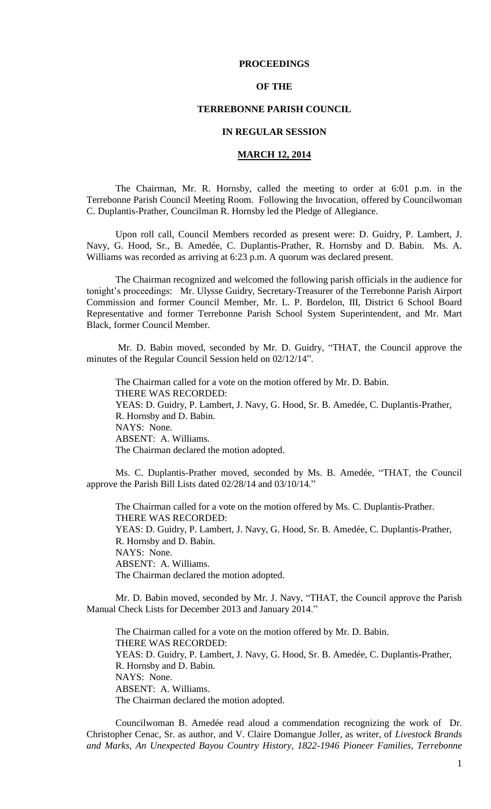## **PROCEEDINGS**

## **OF THE**

# **TERREBONNE PARISH COUNCIL**

## **IN REGULAR SESSION**

## **MARCH 12, 2014**

The Chairman, Mr. R. Hornsby, called the meeting to order at 6:01 p.m. in the Terrebonne Parish Council Meeting Room. Following the Invocation, offered by Councilwoman C. Duplantis-Prather, Councilman R. Hornsby led the Pledge of Allegiance.

Upon roll call, Council Members recorded as present were: D. Guidry, P. Lambert, J. Navy, G. Hood, Sr., B. Amedée, C. Duplantis-Prather, R. Hornsby and D. Babin. Ms. A. Williams was recorded as arriving at 6:23 p.m. A quorum was declared present.

The Chairman recognized and welcomed the following parish officials in the audience for tonight's proceedings: Mr. Ulysse Guidry, Secretary-Treasurer of the Terrebonne Parish Airport Commission and former Council Member, Mr. L. P. Bordelon, III, District 6 School Board Representative and former Terrebonne Parish School System Superintendent, and Mr. Mart Black, former Council Member.

Mr. D. Babin moved, seconded by Mr. D. Guidry, "THAT, the Council approve the minutes of the Regular Council Session held on 02/12/14".

The Chairman called for a vote on the motion offered by Mr. D. Babin. THERE WAS RECORDED: YEAS: D. Guidry, P. Lambert, J. Navy, G. Hood, Sr. B. Amedée, C. Duplantis-Prather, R. Hornsby and D. Babin. NAYS: None. ABSENT: A. Williams. The Chairman declared the motion adopted.

Ms. C. Duplantis-Prather moved, seconded by Ms. B. Amedée, "THAT, the Council approve the Parish Bill Lists dated 02/28/14 and 03/10/14."

The Chairman called for a vote on the motion offered by Ms. C. Duplantis-Prather. THERE WAS RECORDED: YEAS: D. Guidry, P. Lambert, J. Navy, G. Hood, Sr. B. Amedée, C. Duplantis-Prather, R. Hornsby and D. Babin. NAYS: None. ABSENT: A. Williams. The Chairman declared the motion adopted.

Mr. D. Babin moved, seconded by Mr. J. Navy, "THAT, the Council approve the Parish Manual Check Lists for December 2013 and January 2014."

The Chairman called for a vote on the motion offered by Mr. D. Babin. THERE WAS RECORDED: YEAS: D. Guidry, P. Lambert, J. Navy, G. Hood, Sr. B. Amedée, C. Duplantis-Prather, R. Hornsby and D. Babin. NAYS: None. ABSENT: A. Williams. The Chairman declared the motion adopted.

Councilwoman B. Amedée read aloud a commendation recognizing the work of Dr. Christopher Cenac, Sr. as author, and V. Claire Domangue Joller, as writer, of *Livestock Brands and Marks, An Unexpected Bayou Country History, 1822-1946 Pioneer Families, Terrebonne*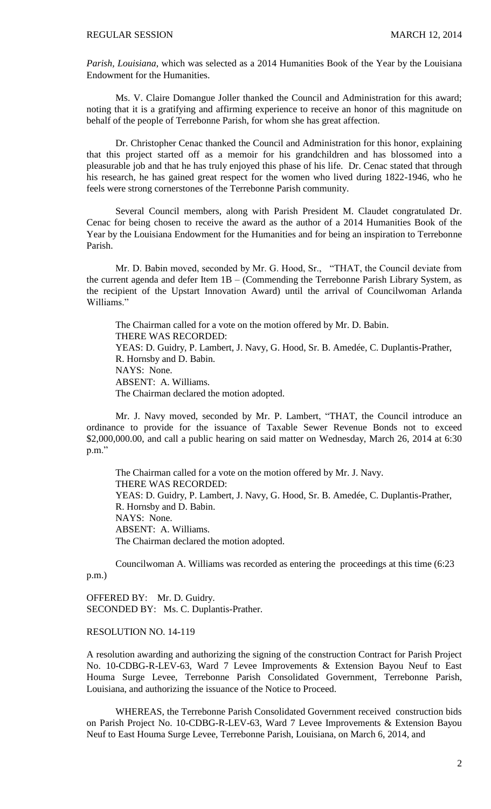*Parish, Louisiana*, which was selected as a 2014 Humanities Book of the Year by the Louisiana Endowment for the Humanities.

Ms. V. Claire Domangue Joller thanked the Council and Administration for this award; noting that it is a gratifying and affirming experience to receive an honor of this magnitude on behalf of the people of Terrebonne Parish, for whom she has great affection.

Dr. Christopher Cenac thanked the Council and Administration for this honor, explaining that this project started off as a memoir for his grandchildren and has blossomed into a pleasurable job and that he has truly enjoyed this phase of his life. Dr. Cenac stated that through his research, he has gained great respect for the women who lived during 1822-1946, who he feels were strong cornerstones of the Terrebonne Parish community.

Several Council members, along with Parish President M. Claudet congratulated Dr. Cenac for being chosen to receive the award as the author of a 2014 Humanities Book of the Year by the Louisiana Endowment for the Humanities and for being an inspiration to Terrebonne Parish.

Mr. D. Babin moved, seconded by Mr. G. Hood, Sr., "THAT, the Council deviate from the current agenda and defer Item 1B – (Commending the Terrebonne Parish Library System, as the recipient of the Upstart Innovation Award) until the arrival of Councilwoman Arlanda Williams."

The Chairman called for a vote on the motion offered by Mr. D. Babin. THERE WAS RECORDED: YEAS: D. Guidry, P. Lambert, J. Navy, G. Hood, Sr. B. Amedée, C. Duplantis-Prather, R. Hornsby and D. Babin. NAYS: None. ABSENT: A. Williams. The Chairman declared the motion adopted.

Mr. J. Navy moved, seconded by Mr. P. Lambert, "THAT, the Council introduce an ordinance to provide for the issuance of Taxable Sewer Revenue Bonds not to exceed \$2,000,000.00, and call a public hearing on said matter on Wednesday, March 26, 2014 at 6:30 p.m."

The Chairman called for a vote on the motion offered by Mr. J. Navy. THERE WAS RECORDED: YEAS: D. Guidry, P. Lambert, J. Navy, G. Hood, Sr. B. Amedée, C. Duplantis-Prather, R. Hornsby and D. Babin. NAYS: None. ABSENT: A. Williams. The Chairman declared the motion adopted.

Councilwoman A. Williams was recorded as entering the proceedings at this time (6:23 p.m.)

OFFERED BY: Mr. D. Guidry. SECONDED BY: Ms. C. Duplantis-Prather.

# RESOLUTION NO. 14-119

A resolution awarding and authorizing the signing of the construction Contract for Parish Project No. 10-CDBG-R-LEV-63, Ward 7 Levee Improvements & Extension Bayou Neuf to East Houma Surge Levee, Terrebonne Parish Consolidated Government, Terrebonne Parish, Louisiana, and authorizing the issuance of the Notice to Proceed.

WHEREAS, the Terrebonne Parish Consolidated Government received construction bids on Parish Project No. 10-CDBG-R-LEV-63, Ward 7 Levee Improvements & Extension Bayou Neuf to East Houma Surge Levee, Terrebonne Parish, Louisiana, on March 6, 2014, and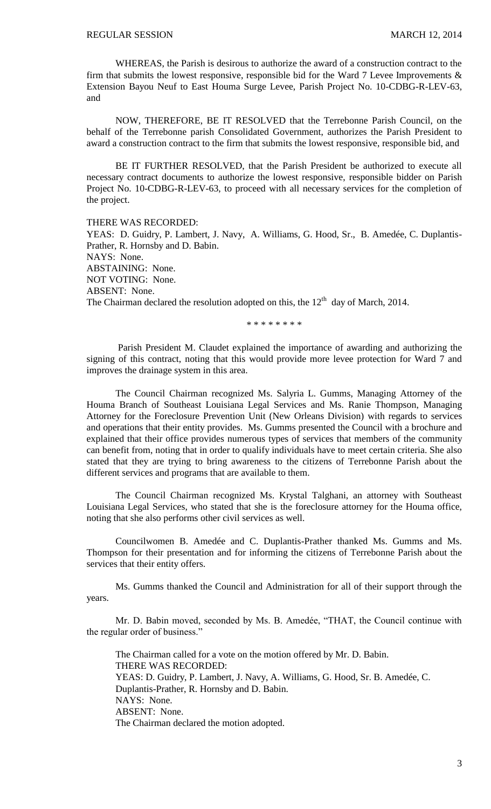WHEREAS, the Parish is desirous to authorize the award of a construction contract to the firm that submits the lowest responsive, responsible bid for the Ward 7 Levee Improvements  $\&$ Extension Bayou Neuf to East Houma Surge Levee, Parish Project No. 10-CDBG-R-LEV-63, and

NOW, THEREFORE, BE IT RESOLVED that the Terrebonne Parish Council, on the behalf of the Terrebonne parish Consolidated Government, authorizes the Parish President to award a construction contract to the firm that submits the lowest responsive, responsible bid, and

BE IT FURTHER RESOLVED, that the Parish President be authorized to execute all necessary contract documents to authorize the lowest responsive, responsible bidder on Parish Project No. 10-CDBG-R-LEV-63, to proceed with all necessary services for the completion of the project.

THERE WAS RECORDED: YEAS: D. Guidry, P. Lambert, J. Navy, A. Williams, G. Hood, Sr., B. Amedée, C. Duplantis-Prather, R. Hornsby and D. Babin. NAYS: None. ABSTAINING: None. NOT VOTING: None. ABSENT: None. The Chairman declared the resolution adopted on this, the  $12<sup>th</sup>$  day of March, 2014.

\* \* \* \* \* \* \* \*

Parish President M. Claudet explained the importance of awarding and authorizing the signing of this contract, noting that this would provide more levee protection for Ward 7 and improves the drainage system in this area.

The Council Chairman recognized Ms. Salyria L. Gumms, Managing Attorney of the Houma Branch of Southeast Louisiana Legal Services and Ms. Ranie Thompson, Managing Attorney for the Foreclosure Prevention Unit (New Orleans Division) with regards to services and operations that their entity provides. Ms. Gumms presented the Council with a brochure and explained that their office provides numerous types of services that members of the community can benefit from, noting that in order to qualify individuals have to meet certain criteria. She also stated that they are trying to bring awareness to the citizens of Terrebonne Parish about the different services and programs that are available to them.

The Council Chairman recognized Ms. Krystal Talghani, an attorney with Southeast Louisiana Legal Services, who stated that she is the foreclosure attorney for the Houma office, noting that she also performs other civil services as well.

Councilwomen B. Amedée and C. Duplantis-Prather thanked Ms. Gumms and Ms. Thompson for their presentation and for informing the citizens of Terrebonne Parish about the services that their entity offers.

Ms. Gumms thanked the Council and Administration for all of their support through the years.

Mr. D. Babin moved, seconded by Ms. B. Amedée, "THAT, the Council continue with the regular order of business."

The Chairman called for a vote on the motion offered by Mr. D. Babin. THERE WAS RECORDED: YEAS: D. Guidry, P. Lambert, J. Navy, A. Williams, G. Hood, Sr. B. Amedée, C. Duplantis-Prather, R. Hornsby and D. Babin. NAYS: None. ABSENT: None. The Chairman declared the motion adopted.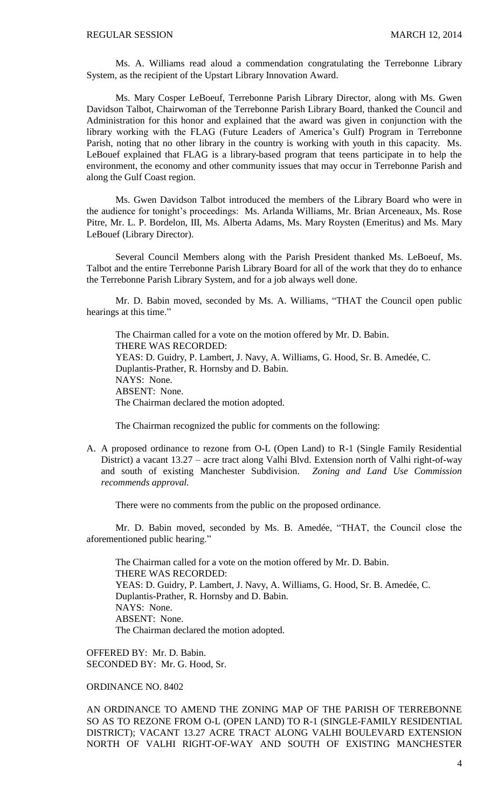Ms. A. Williams read aloud a commendation congratulating the Terrebonne Library System, as the recipient of the Upstart Library Innovation Award.

Ms. Mary Cosper LeBoeuf, Terrebonne Parish Library Director, along with Ms. Gwen Davidson Talbot, Chairwoman of the Terrebonne Parish Library Board, thanked the Council and Administration for this honor and explained that the award was given in conjunction with the library working with the FLAG (Future Leaders of America's Gulf) Program in Terrebonne Parish, noting that no other library in the country is working with youth in this capacity. Ms. LeBouef explained that FLAG is a library-based program that teens participate in to help the environment, the economy and other community issues that may occur in Terrebonne Parish and along the Gulf Coast region.

Ms. Gwen Davidson Talbot introduced the members of the Library Board who were in the audience for tonight's proceedings: Ms. Arlanda Williams, Mr. Brian Arceneaux, Ms. Rose Pitre, Mr. L. P. Bordelon, III, Ms. Alberta Adams, Ms. Mary Roysten (Emeritus) and Ms. Mary LeBouef (Library Director).

Several Council Members along with the Parish President thanked Ms. LeBoeuf, Ms. Talbot and the entire Terrebonne Parish Library Board for all of the work that they do to enhance the Terrebonne Parish Library System, and for a job always well done.

Mr. D. Babin moved, seconded by Ms. A. Williams, "THAT the Council open public hearings at this time."

The Chairman called for a vote on the motion offered by Mr. D. Babin. THERE WAS RECORDED: YEAS: D. Guidry, P. Lambert, J. Navy, A. Williams, G. Hood, Sr. B. Amedée, C. Duplantis-Prather, R. Hornsby and D. Babin. NAYS: None. ABSENT: None. The Chairman declared the motion adopted.

The Chairman recognized the public for comments on the following:

A. A proposed ordinance to rezone from O-L (Open Land) to R-1 (Single Family Residential District) a vacant 13.27 – acre tract along Valhi Blvd. Extension north of Valhi right-of-way and south of existing Manchester Subdivision. *Zoning and Land Use Commission recommends approval.*

There were no comments from the public on the proposed ordinance.

Mr. D. Babin moved, seconded by Ms. B. Amedée, "THAT, the Council close the aforementioned public hearing."

The Chairman called for a vote on the motion offered by Mr. D. Babin. THERE WAS RECORDED: YEAS: D. Guidry, P. Lambert, J. Navy, A. Williams, G. Hood, Sr. B. Amedée, C. Duplantis-Prather, R. Hornsby and D. Babin. NAYS: None. ABSENT: None. The Chairman declared the motion adopted.

OFFERED BY: Mr. D. Babin. SECONDED BY: Mr. G. Hood, Sr.

ORDINANCE NO. 8402

AN ORDINANCE TO AMEND THE ZONING MAP OF THE PARISH OF TERREBONNE SO AS TO REZONE FROM O-L (OPEN LAND) TO R-1 (SINGLE-FAMILY RESIDENTIAL DISTRICT); VACANT 13.27 ACRE TRACT ALONG VALHI BOULEVARD EXTENSION NORTH OF VALHI RIGHT-OF-WAY AND SOUTH OF EXISTING MANCHESTER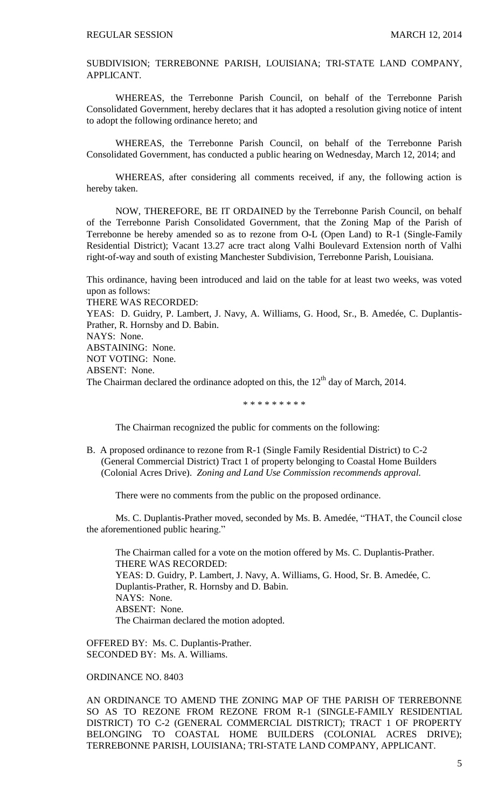SUBDIVISION; TERREBONNE PARISH, LOUISIANA; TRI-STATE LAND COMPANY, APPLICANT.

WHEREAS, the Terrebonne Parish Council, on behalf of the Terrebonne Parish Consolidated Government, hereby declares that it has adopted a resolution giving notice of intent to adopt the following ordinance hereto; and

WHEREAS, the Terrebonne Parish Council, on behalf of the Terrebonne Parish Consolidated Government, has conducted a public hearing on Wednesday, March 12, 2014; and

WHEREAS, after considering all comments received, if any, the following action is hereby taken.

NOW, THEREFORE, BE IT ORDAINED by the Terrebonne Parish Council, on behalf of the Terrebonne Parish Consolidated Government, that the Zoning Map of the Parish of Terrebonne be hereby amended so as to rezone from O-L (Open Land) to R-1 (Single-Family Residential District); Vacant 13.27 acre tract along Valhi Boulevard Extension north of Valhi right-of-way and south of existing Manchester Subdivision, Terrebonne Parish, Louisiana.

This ordinance, having been introduced and laid on the table for at least two weeks, was voted upon as follows:

THERE WAS RECORDED:

YEAS: D. Guidry, P. Lambert, J. Navy, A. Williams, G. Hood, Sr., B. Amedée, C. Duplantis-Prather, R. Hornsby and D. Babin.

NAYS: None.

ABSTAINING: None.

NOT VOTING: None.

ABSENT: None.

The Chairman declared the ordinance adopted on this, the  $12<sup>th</sup>$  day of March, 2014.

\* \* \* \* \* \* \* \* \*

The Chairman recognized the public for comments on the following:

B. A proposed ordinance to rezone from R-1 (Single Family Residential District) to C-2 (General Commercial District) Tract 1 of property belonging to Coastal Home Builders (Colonial Acres Drive). *Zoning and Land Use Commission recommends approval.*

There were no comments from the public on the proposed ordinance.

Ms. C. Duplantis-Prather moved, seconded by Ms. B. Amedée, "THAT, the Council close the aforementioned public hearing."

The Chairman called for a vote on the motion offered by Ms. C. Duplantis-Prather. THERE WAS RECORDED: YEAS: D. Guidry, P. Lambert, J. Navy, A. Williams, G. Hood, Sr. B. Amedée, C. Duplantis-Prather, R. Hornsby and D. Babin. NAYS: None. ABSENT: None. The Chairman declared the motion adopted.

OFFERED BY: Ms. C. Duplantis-Prather. SECONDED BY: Ms. A. Williams.

ORDINANCE NO. 8403

AN ORDINANCE TO AMEND THE ZONING MAP OF THE PARISH OF TERREBONNE SO AS TO REZONE FROM REZONE FROM R-1 (SINGLE-FAMILY RESIDENTIAL DISTRICT) TO C-2 (GENERAL COMMERCIAL DISTRICT); TRACT 1 OF PROPERTY BELONGING TO COASTAL HOME BUILDERS (COLONIAL ACRES DRIVE); TERREBONNE PARISH, LOUISIANA; TRI-STATE LAND COMPANY, APPLICANT.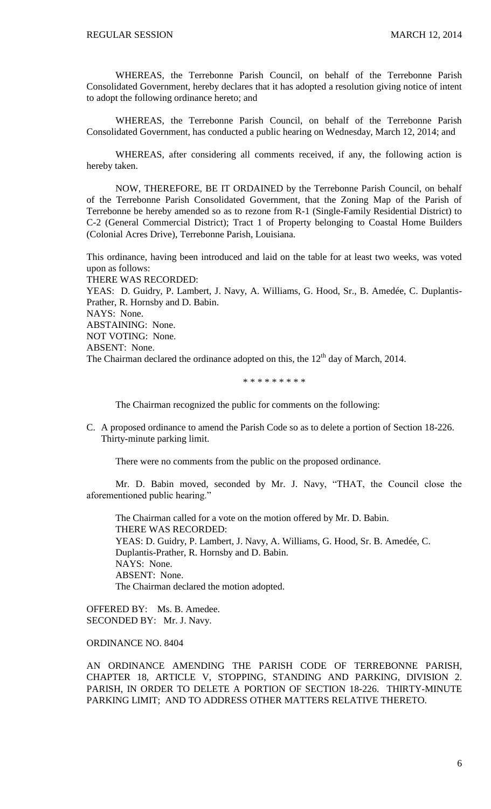WHEREAS, the Terrebonne Parish Council, on behalf of the Terrebonne Parish Consolidated Government, hereby declares that it has adopted a resolution giving notice of intent to adopt the following ordinance hereto; and

WHEREAS, the Terrebonne Parish Council, on behalf of the Terrebonne Parish Consolidated Government, has conducted a public hearing on Wednesday, March 12, 2014; and

WHEREAS, after considering all comments received, if any, the following action is hereby taken.

NOW, THEREFORE, BE IT ORDAINED by the Terrebonne Parish Council, on behalf of the Terrebonne Parish Consolidated Government, that the Zoning Map of the Parish of Terrebonne be hereby amended so as to rezone from R-1 (Single-Family Residential District) to C-2 (General Commercial District); Tract 1 of Property belonging to Coastal Home Builders (Colonial Acres Drive), Terrebonne Parish, Louisiana.

This ordinance, having been introduced and laid on the table for at least two weeks, was voted upon as follows:

THERE WAS RECORDED:

YEAS: D. Guidry, P. Lambert, J. Navy, A. Williams, G. Hood, Sr., B. Amedée, C. Duplantis-Prather, R. Hornsby and D. Babin.

NAYS: None.

ABSTAINING: None.

NOT VOTING: None.

ABSENT: None.

The Chairman declared the ordinance adopted on this, the  $12<sup>th</sup>$  day of March, 2014.

#### \* \* \* \* \* \* \* \* \*

The Chairman recognized the public for comments on the following:

C. A proposed ordinance to amend the Parish Code so as to delete a portion of Section 18-226. Thirty-minute parking limit.

There were no comments from the public on the proposed ordinance.

Mr. D. Babin moved, seconded by Mr. J. Navy, "THAT, the Council close the aforementioned public hearing."

The Chairman called for a vote on the motion offered by Mr. D. Babin. THERE WAS RECORDED: YEAS: D. Guidry, P. Lambert, J. Navy, A. Williams, G. Hood, Sr. B. Amedée, C. Duplantis-Prather, R. Hornsby and D. Babin. NAYS: None. ABSENT: None. The Chairman declared the motion adopted.

OFFERED BY: Ms. B. Amedee. SECONDED BY: Mr. J. Navy.

# ORDINANCE NO. 8404

AN ORDINANCE AMENDING THE PARISH CODE OF TERREBONNE PARISH, CHAPTER 18, ARTICLE V, STOPPING, STANDING AND PARKING, DIVISION 2. PARISH, IN ORDER TO DELETE A PORTION OF SECTION 18-226. THIRTY-MINUTE PARKING LIMIT; AND TO ADDRESS OTHER MATTERS RELATIVE THERETO.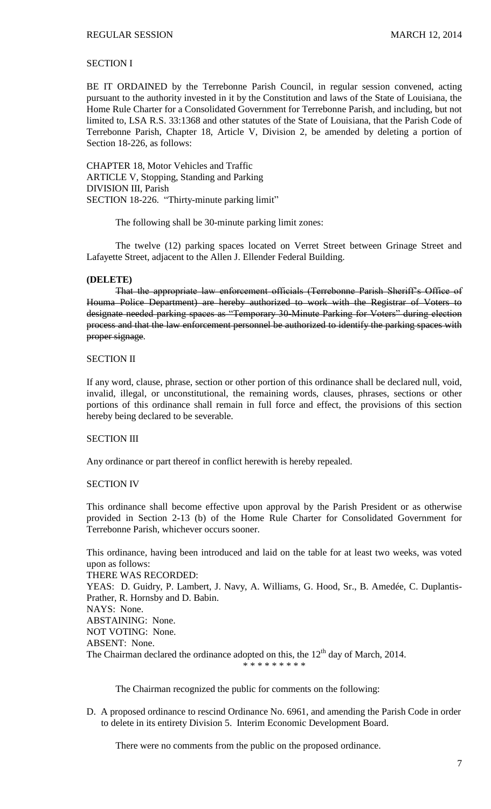# SECTION I

BE IT ORDAINED by the Terrebonne Parish Council, in regular session convened, acting pursuant to the authority invested in it by the Constitution and laws of the State of Louisiana, the Home Rule Charter for a Consolidated Government for Terrebonne Parish, and including, but not limited to, LSA R.S. 33:1368 and other statutes of the State of Louisiana, that the Parish Code of Terrebonne Parish, Chapter 18, Article V, Division 2, be amended by deleting a portion of Section 18-226, as follows:

CHAPTER 18, Motor Vehicles and Traffic ARTICLE V, Stopping, Standing and Parking DIVISION III, Parish SECTION 18-226. "Thirty-minute parking limit"

The following shall be 30-minute parking limit zones:

The twelve (12) parking spaces located on Verret Street between Grinage Street and Lafayette Street, adjacent to the Allen J. Ellender Federal Building.

#### **(DELETE)**

That the appropriate law enforcement officials (Terrebonne Parish Sheriff's Office of Houma Police Department) are hereby authorized to work with the Registrar of Voters to designate needed parking spaces as "Temporary 30-Minute Parking for Voters" during election process and that the law enforcement personnel be authorized to identify the parking spaces with proper signage.

#### SECTION II

If any word, clause, phrase, section or other portion of this ordinance shall be declared null, void, invalid, illegal, or unconstitutional, the remaining words, clauses, phrases, sections or other portions of this ordinance shall remain in full force and effect, the provisions of this section hereby being declared to be severable.

#### SECTION III

Any ordinance or part thereof in conflict herewith is hereby repealed.

## SECTION IV

This ordinance shall become effective upon approval by the Parish President or as otherwise provided in Section 2-13 (b) of the Home Rule Charter for Consolidated Government for Terrebonne Parish, whichever occurs sooner.

This ordinance, having been introduced and laid on the table for at least two weeks, was voted upon as follows:

THERE WAS RECORDED: YEAS: D. Guidry, P. Lambert, J. Navy, A. Williams, G. Hood, Sr., B. Amedée, C. Duplantis-Prather, R. Hornsby and D. Babin. NAYS: None. ABSTAINING: None.

NOT VOTING: None.

ABSENT: None.

The Chairman declared the ordinance adopted on this, the  $12<sup>th</sup>$  day of March, 2014.

\* \* \* \* \* \* \* \* \*

The Chairman recognized the public for comments on the following:

D. A proposed ordinance to rescind Ordinance No. 6961, and amending the Parish Code in order to delete in its entirety Division 5. Interim Economic Development Board.

There were no comments from the public on the proposed ordinance.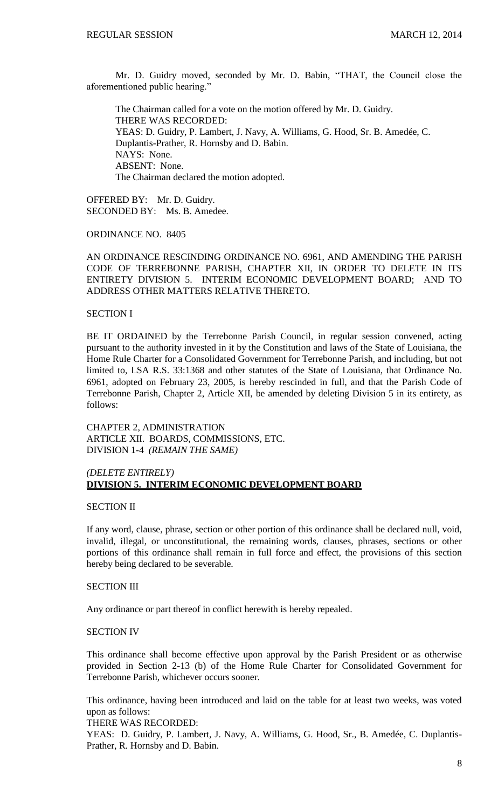Mr. D. Guidry moved, seconded by Mr. D. Babin, "THAT, the Council close the aforementioned public hearing."

The Chairman called for a vote on the motion offered by Mr. D. Guidry. THERE WAS RECORDED: YEAS: D. Guidry, P. Lambert, J. Navy, A. Williams, G. Hood, Sr. B. Amedée, C. Duplantis-Prather, R. Hornsby and D. Babin. NAYS: None. ABSENT: None. The Chairman declared the motion adopted.

OFFERED BY: Mr. D. Guidry. SECONDED BY: Ms. B. Amedee.

ORDINANCE NO. 8405

AN ORDINANCE RESCINDING ORDINANCE NO. 6961, AND AMENDING THE PARISH CODE OF TERREBONNE PARISH, CHAPTER XII, IN ORDER TO DELETE IN ITS ENTIRETY DIVISION 5. INTERIM ECONOMIC DEVELOPMENT BOARD; AND TO ADDRESS OTHER MATTERS RELATIVE THERETO.

## SECTION I

BE IT ORDAINED by the Terrebonne Parish Council, in regular session convened, acting pursuant to the authority invested in it by the Constitution and laws of the State of Louisiana, the Home Rule Charter for a Consolidated Government for Terrebonne Parish, and including, but not limited to, LSA R.S. 33:1368 and other statutes of the State of Louisiana, that Ordinance No. 6961, adopted on February 23, 2005, is hereby rescinded in full, and that the Parish Code of Terrebonne Parish, Chapter 2, Article XII, be amended by deleting Division 5 in its entirety, as follows:

CHAPTER 2, ADMINISTRATION ARTICLE XII. BOARDS, COMMISSIONS, ETC. DIVISION 1-4 *(REMAIN THE SAME)*

# *(DELETE ENTIRELY)* **DIVISION 5. INTERIM ECONOMIC DEVELOPMENT BOARD**

#### SECTION II

If any word, clause, phrase, section or other portion of this ordinance shall be declared null, void, invalid, illegal, or unconstitutional, the remaining words, clauses, phrases, sections or other portions of this ordinance shall remain in full force and effect, the provisions of this section hereby being declared to be severable.

#### SECTION III

Any ordinance or part thereof in conflict herewith is hereby repealed.

# SECTION IV

This ordinance shall become effective upon approval by the Parish President or as otherwise provided in Section 2-13 (b) of the Home Rule Charter for Consolidated Government for Terrebonne Parish, whichever occurs sooner.

This ordinance, having been introduced and laid on the table for at least two weeks, was voted upon as follows:

THERE WAS RECORDED:

YEAS: D. Guidry, P. Lambert, J. Navy, A. Williams, G. Hood, Sr., B. Amedée, C. Duplantis-Prather, R. Hornsby and D. Babin.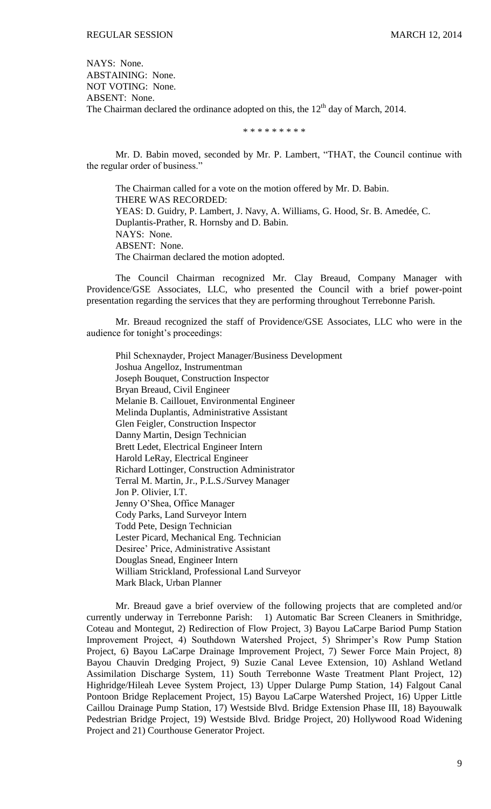NAYS: None. ABSTAINING: None. NOT VOTING: None. ABSENT: None. The Chairman declared the ordinance adopted on this, the  $12<sup>th</sup>$  day of March, 2014.

\* \* \* \* \* \* \* \* \*

Mr. D. Babin moved, seconded by Mr. P. Lambert, "THAT, the Council continue with the regular order of business."

The Chairman called for a vote on the motion offered by Mr. D. Babin. THERE WAS RECORDED: YEAS: D. Guidry, P. Lambert, J. Navy, A. Williams, G. Hood, Sr. B. Amedée, C. Duplantis-Prather, R. Hornsby and D. Babin. NAYS: None. ABSENT: None. The Chairman declared the motion adopted.

The Council Chairman recognized Mr. Clay Breaud, Company Manager with Providence/GSE Associates, LLC, who presented the Council with a brief power-point presentation regarding the services that they are performing throughout Terrebonne Parish.

Mr. Breaud recognized the staff of Providence/GSE Associates, LLC who were in the audience for tonight's proceedings:

Phil Schexnayder, Project Manager/Business Development Joshua Angelloz, Instrumentman Joseph Bouquet, Construction Inspector Bryan Breaud, Civil Engineer Melanie B. Caillouet, Environmental Engineer Melinda Duplantis, Administrative Assistant Glen Feigler, Construction Inspector Danny Martin, Design Technician Brett Ledet, Electrical Engineer Intern Harold LeRay, Electrical Engineer Richard Lottinger, Construction Administrator Terral M. Martin, Jr., P.L.S./Survey Manager Jon P. Olivier, I.T. Jenny O'Shea, Office Manager Cody Parks, Land Surveyor Intern Todd Pete, Design Technician Lester Picard, Mechanical Eng. Technician Desiree' Price, Administrative Assistant Douglas Snead, Engineer Intern William Strickland, Professional Land Surveyor Mark Black, Urban Planner

Mr. Breaud gave a brief overview of the following projects that are completed and/or currently underway in Terrebonne Parish: 1) Automatic Bar Screen Cleaners in Smithridge, Coteau and Montegut, 2) Redirection of Flow Project, 3) Bayou LaCarpe Bariod Pump Station Improvement Project, 4) Southdown Watershed Project, 5) Shrimper's Row Pump Station Project, 6) Bayou LaCarpe Drainage Improvement Project, 7) Sewer Force Main Project, 8) Bayou Chauvin Dredging Project, 9) Suzie Canal Levee Extension, 10) Ashland Wetland Assimilation Discharge System, 11) South Terrebonne Waste Treatment Plant Project, 12) Highridge/Hileah Levee System Project, 13) Upper Dularge Pump Station, 14) Falgout Canal Pontoon Bridge Replacement Project, 15) Bayou LaCarpe Watershed Project, 16) Upper Little Caillou Drainage Pump Station, 17) Westside Blvd. Bridge Extension Phase III, 18) Bayouwalk Pedestrian Bridge Project, 19) Westside Blvd. Bridge Project, 20) Hollywood Road Widening Project and 21) Courthouse Generator Project.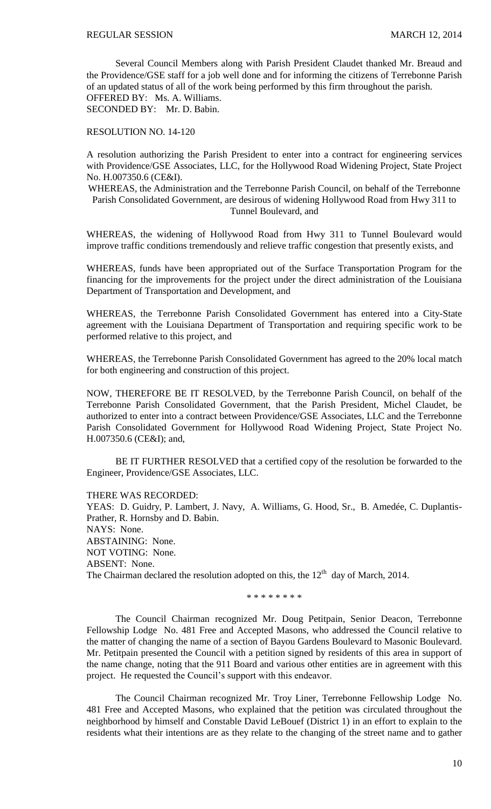Several Council Members along with Parish President Claudet thanked Mr. Breaud and the Providence/GSE staff for a job well done and for informing the citizens of Terrebonne Parish of an updated status of all of the work being performed by this firm throughout the parish. OFFERED BY: Ms. A. Williams.

SECONDED BY: Mr. D. Babin.

RESOLUTION NO. 14-120

A resolution authorizing the Parish President to enter into a contract for engineering services with Providence/GSE Associates, LLC, for the Hollywood Road Widening Project, State Project No. H.007350.6 (CE&I).

WHEREAS, the Administration and the Terrebonne Parish Council, on behalf of the Terrebonne Parish Consolidated Government, are desirous of widening Hollywood Road from Hwy 311 to Tunnel Boulevard, and

WHEREAS, the widening of Hollywood Road from Hwy 311 to Tunnel Boulevard would improve traffic conditions tremendously and relieve traffic congestion that presently exists, and

WHEREAS, funds have been appropriated out of the Surface Transportation Program for the financing for the improvements for the project under the direct administration of the Louisiana Department of Transportation and Development, and

WHEREAS, the Terrebonne Parish Consolidated Government has entered into a City-State agreement with the Louisiana Department of Transportation and requiring specific work to be performed relative to this project, and

WHEREAS, the Terrebonne Parish Consolidated Government has agreed to the 20% local match for both engineering and construction of this project.

NOW, THEREFORE BE IT RESOLVED, by the Terrebonne Parish Council, on behalf of the Terrebonne Parish Consolidated Government, that the Parish President, Michel Claudet, be authorized to enter into a contract between Providence/GSE Associates, LLC and the Terrebonne Parish Consolidated Government for Hollywood Road Widening Project, State Project No. H.007350.6 (CE&I); and,

BE IT FURTHER RESOLVED that a certified copy of the resolution be forwarded to the Engineer, Providence/GSE Associates, LLC.

THERE WAS RECORDED:

YEAS: D. Guidry, P. Lambert, J. Navy, A. Williams, G. Hood, Sr., B. Amedée, C. Duplantis-Prather, R. Hornsby and D. Babin. NAYS: None. ABSTAINING: None. NOT VOTING: None. ABSENT: None. The Chairman declared the resolution adopted on this, the  $12<sup>th</sup>$  day of March, 2014.

\* \* \* \* \* \* \* \*

The Council Chairman recognized Mr. Doug Petitpain, Senior Deacon, Terrebonne Fellowship Lodge No. 481 Free and Accepted Masons, who addressed the Council relative to the matter of changing the name of a section of Bayou Gardens Boulevard to Masonic Boulevard. Mr. Petitpain presented the Council with a petition signed by residents of this area in support of the name change, noting that the 911 Board and various other entities are in agreement with this project. He requested the Council's support with this endeavor.

The Council Chairman recognized Mr. Troy Liner, Terrebonne Fellowship Lodge No. 481 Free and Accepted Masons, who explained that the petition was circulated throughout the neighborhood by himself and Constable David LeBouef (District 1) in an effort to explain to the residents what their intentions are as they relate to the changing of the street name and to gather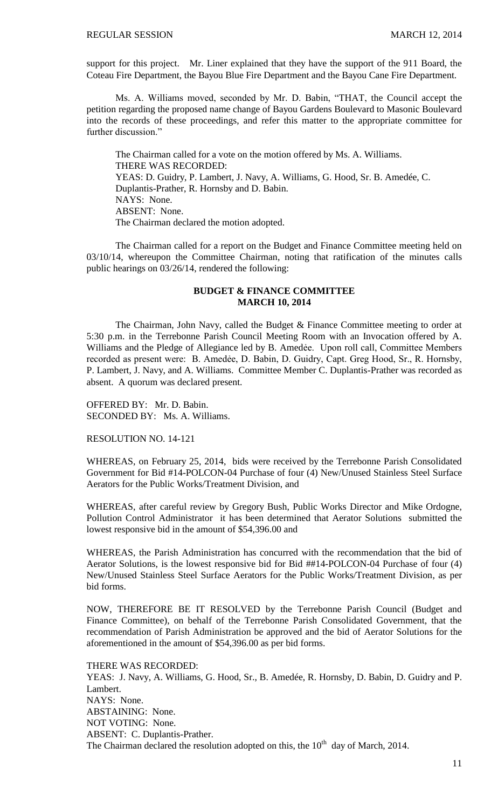support for this project. Mr. Liner explained that they have the support of the 911 Board, the Coteau Fire Department, the Bayou Blue Fire Department and the Bayou Cane Fire Department.

Ms. A. Williams moved, seconded by Mr. D. Babin, "THAT, the Council accept the petition regarding the proposed name change of Bayou Gardens Boulevard to Masonic Boulevard into the records of these proceedings, and refer this matter to the appropriate committee for further discussion."

The Chairman called for a vote on the motion offered by Ms. A. Williams. THERE WAS RECORDED: YEAS: D. Guidry, P. Lambert, J. Navy, A. Williams, G. Hood, Sr. B. Amedée, C. Duplantis-Prather, R. Hornsby and D. Babin. NAYS: None. ABSENT: None. The Chairman declared the motion adopted.

The Chairman called for a report on the Budget and Finance Committee meeting held on 03/10/14, whereupon the Committee Chairman, noting that ratification of the minutes calls public hearings on 03/26/14, rendered the following:

## **BUDGET & FINANCE COMMITTEE MARCH 10, 2014**

The Chairman, John Navy, called the Budget & Finance Committee meeting to order at 5:30 p.m. in the Terrebonne Parish Council Meeting Room with an Invocation offered by A. Williams and the Pledge of Allegiance led by B. Amedee. Upon roll call, Committee Members recorded as present were: B. Amedée, D. Babin, D. Guidry, Capt. Greg Hood, Sr., R. Hornsby, P. Lambert, J. Navy, and A. Williams. Committee Member C. Duplantis-Prather was recorded as absent. A quorum was declared present.

OFFERED BY: Mr. D. Babin. SECONDED BY: Ms. A. Williams.

RESOLUTION NO. 14-121

WHEREAS, on February 25, 2014, bids were received by the Terrebonne Parish Consolidated Government for Bid #14-POLCON-04 Purchase of four (4) New/Unused Stainless Steel Surface Aerators for the Public Works/Treatment Division, and

WHEREAS, after careful review by Gregory Bush, Public Works Director and Mike Ordogne, Pollution Control Administrator it has been determined that Aerator Solutions submitted the lowest responsive bid in the amount of \$54,396.00 and

WHEREAS, the Parish Administration has concurred with the recommendation that the bid of Aerator Solutions, is the lowest responsive bid for Bid ##14-POLCON-04 Purchase of four (4) New/Unused Stainless Steel Surface Aerators for the Public Works/Treatment Division, as per bid forms.

NOW, THEREFORE BE IT RESOLVED by the Terrebonne Parish Council (Budget and Finance Committee), on behalf of the Terrebonne Parish Consolidated Government, that the recommendation of Parish Administration be approved and the bid of Aerator Solutions for the aforementioned in the amount of \$54,396.00 as per bid forms.

THERE WAS RECORDED:

YEAS: J. Navy, A. Williams, G. Hood, Sr., B. Amedée, R. Hornsby, D. Babin, D. Guidry and P. Lambert. NAYS: None. ABSTAINING: None. NOT VOTING: None. ABSENT: C. Duplantis-Prather. The Chairman declared the resolution adopted on this, the  $10<sup>th</sup>$  day of March, 2014.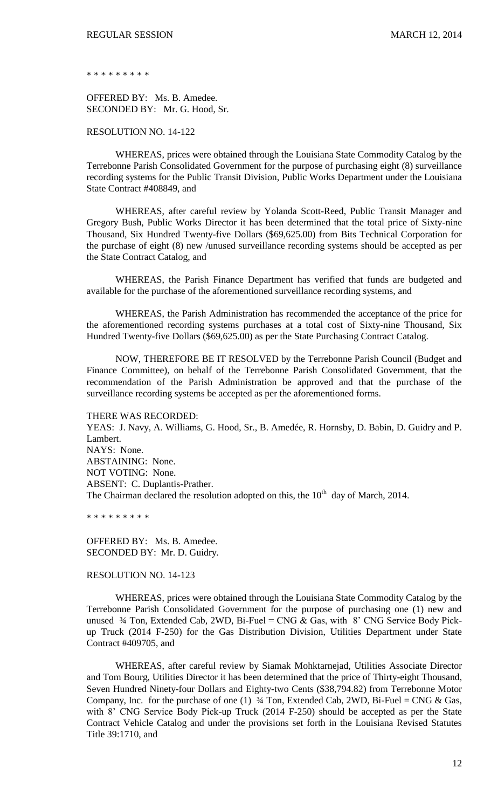\* \* \* \* \* \* \* \* \*

OFFERED BY: Ms. B. Amedee. SECONDED BY: Mr. G. Hood, Sr.

RESOLUTION NO. 14-122

WHEREAS, prices were obtained through the Louisiana State Commodity Catalog by the Terrebonne Parish Consolidated Government for the purpose of purchasing eight (8) surveillance recording systems for the Public Transit Division, Public Works Department under the Louisiana State Contract #408849, and

WHEREAS, after careful review by Yolanda Scott-Reed, Public Transit Manager and Gregory Bush, Public Works Director it has been determined that the total price of Sixty-nine Thousand, Six Hundred Twenty-five Dollars (\$69,625.00) from Bits Technical Corporation for the purchase of eight (8) new /unused surveillance recording systems should be accepted as per the State Contract Catalog, and

WHEREAS, the Parish Finance Department has verified that funds are budgeted and available for the purchase of the aforementioned surveillance recording systems, and

WHEREAS, the Parish Administration has recommended the acceptance of the price for the aforementioned recording systems purchases at a total cost of Sixty-nine Thousand, Six Hundred Twenty-five Dollars (\$69,625.00) as per the State Purchasing Contract Catalog.

NOW, THEREFORE BE IT RESOLVED by the Terrebonne Parish Council (Budget and Finance Committee), on behalf of the Terrebonne Parish Consolidated Government, that the recommendation of the Parish Administration be approved and that the purchase of the surveillance recording systems be accepted as per the aforementioned forms.

THERE WAS RECORDED:

YEAS: J. Navy, A. Williams, G. Hood, Sr., B. Amedée, R. Hornsby, D. Babin, D. Guidry and P. Lambert. NAYS: None. ABSTAINING: None. NOT VOTING: None. ABSENT: C. Duplantis-Prather. The Chairman declared the resolution adopted on this, the  $10<sup>th</sup>$  day of March, 2014.

\* \* \* \* \* \* \* \* \*

OFFERED BY: Ms. B. Amedee. SECONDED BY: Mr. D. Guidry.

RESOLUTION NO. 14-123

WHEREAS, prices were obtained through the Louisiana State Commodity Catalog by the Terrebonne Parish Consolidated Government for the purpose of purchasing one (1) new and unused  $\frac{3}{4}$  Ton, Extended Cab, 2WD, Bi-Fuel = CNG & Gas, with 8' CNG Service Body Pickup Truck (2014 F-250) for the Gas Distribution Division, Utilities Department under State Contract #409705, and

WHEREAS, after careful review by Siamak Mohktarnejad, Utilities Associate Director and Tom Bourg, Utilities Director it has been determined that the price of Thirty-eight Thousand, Seven Hundred Ninety-four Dollars and Eighty-two Cents (\$38,794.82) from Terrebonne Motor Company, Inc. for the purchase of one (1)  $\frac{3}{4}$  Ton, Extended Cab, 2WD, Bi-Fuel = CNG & Gas, with 8' CNG Service Body Pick-up Truck (2014 F-250) should be accepted as per the State Contract Vehicle Catalog and under the provisions set forth in the Louisiana Revised Statutes Title 39:1710, and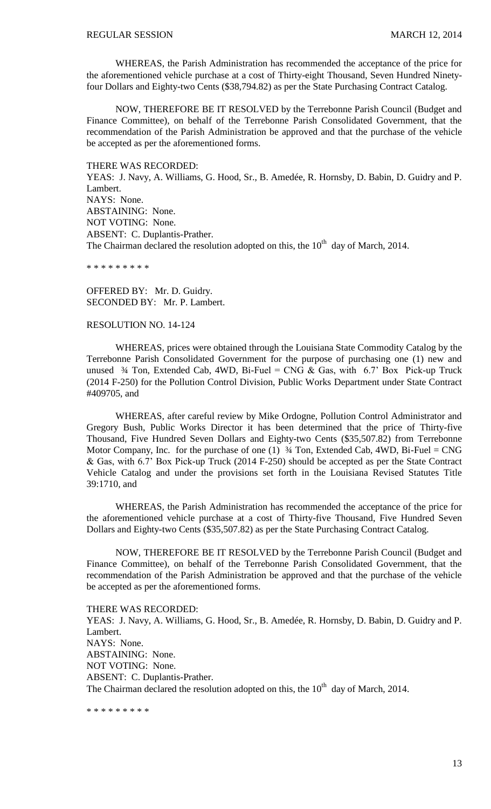WHEREAS, the Parish Administration has recommended the acceptance of the price for the aforementioned vehicle purchase at a cost of Thirty-eight Thousand, Seven Hundred Ninetyfour Dollars and Eighty-two Cents (\$38,794.82) as per the State Purchasing Contract Catalog.

NOW, THEREFORE BE IT RESOLVED by the Terrebonne Parish Council (Budget and Finance Committee), on behalf of the Terrebonne Parish Consolidated Government, that the recommendation of the Parish Administration be approved and that the purchase of the vehicle be accepted as per the aforementioned forms.

THERE WAS RECORDED: YEAS: J. Navy, A. Williams, G. Hood, Sr., B. Amedée, R. Hornsby, D. Babin, D. Guidry and P. Lambert. NAYS: None. ABSTAINING: None. NOT VOTING: None. ABSENT: C. Duplantis-Prather. The Chairman declared the resolution adopted on this, the  $10<sup>th</sup>$  day of March, 2014.

\* \* \* \* \* \* \* \* \*

OFFERED BY: Mr. D. Guidry. SECONDED BY: Mr. P. Lambert.

#### RESOLUTION NO. 14-124

WHEREAS, prices were obtained through the Louisiana State Commodity Catalog by the Terrebonne Parish Consolidated Government for the purpose of purchasing one (1) new and unused  $\frac{3}{4}$  Ton, Extended Cab, 4WD, Bi-Fuel = CNG & Gas, with 6.7' Box Pick-up Truck (2014 F-250) for the Pollution Control Division, Public Works Department under State Contract #409705, and

WHEREAS, after careful review by Mike Ordogne, Pollution Control Administrator and Gregory Bush, Public Works Director it has been determined that the price of Thirty-five Thousand, Five Hundred Seven Dollars and Eighty-two Cents (\$35,507.82) from Terrebonne Motor Company, Inc. for the purchase of one (1)  $\frac{3}{4}$  Ton, Extended Cab, 4WD, Bi-Fuel = CNG & Gas, with 6.7' Box Pick-up Truck (2014 F-250) should be accepted as per the State Contract Vehicle Catalog and under the provisions set forth in the Louisiana Revised Statutes Title 39:1710, and

WHEREAS, the Parish Administration has recommended the acceptance of the price for the aforementioned vehicle purchase at a cost of Thirty-five Thousand, Five Hundred Seven Dollars and Eighty-two Cents (\$35,507.82) as per the State Purchasing Contract Catalog.

NOW, THEREFORE BE IT RESOLVED by the Terrebonne Parish Council (Budget and Finance Committee), on behalf of the Terrebonne Parish Consolidated Government, that the recommendation of the Parish Administration be approved and that the purchase of the vehicle be accepted as per the aforementioned forms.

THERE WAS RECORDED: YEAS: J. Navy, A. Williams, G. Hood, Sr., B. Amedée, R. Hornsby, D. Babin, D. Guidry and P. Lambert. NAYS: None. ABSTAINING: None. NOT VOTING: None. ABSENT: C. Duplantis-Prather. The Chairman declared the resolution adopted on this, the  $10<sup>th</sup>$  day of March, 2014.

\* \* \* \* \* \* \* \* \*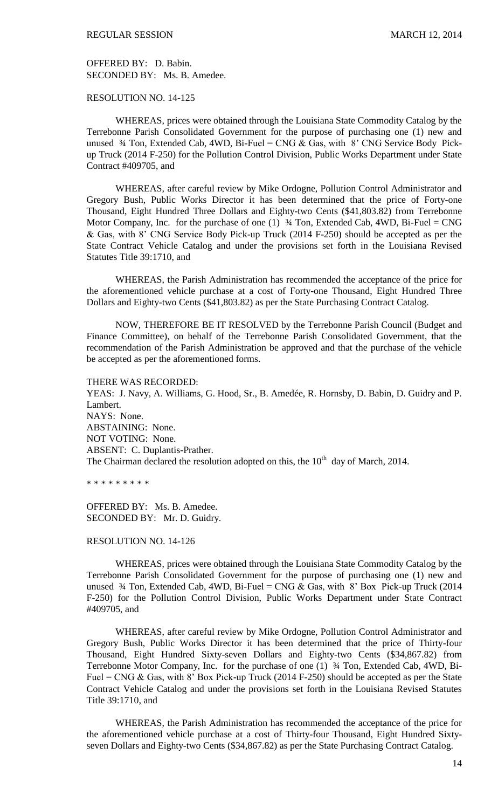OFFERED BY: D. Babin. SECONDED BY: Ms. B. Amedee.

# RESOLUTION NO. 14-125

WHEREAS, prices were obtained through the Louisiana State Commodity Catalog by the Terrebonne Parish Consolidated Government for the purpose of purchasing one (1) new and unused  $\frac{3}{4}$  Ton, Extended Cab, 4WD, Bi-Fuel = CNG & Gas, with 8' CNG Service Body Pickup Truck (2014 F-250) for the Pollution Control Division, Public Works Department under State Contract #409705, and

WHEREAS, after careful review by Mike Ordogne, Pollution Control Administrator and Gregory Bush, Public Works Director it has been determined that the price of Forty-one Thousand, Eight Hundred Three Dollars and Eighty-two Cents (\$41,803.82) from Terrebonne Motor Company, Inc. for the purchase of one (1)  $\frac{3}{4}$  Ton, Extended Cab, 4WD, Bi-Fuel = CNG & Gas, with 8' CNG Service Body Pick-up Truck (2014 F-250) should be accepted as per the State Contract Vehicle Catalog and under the provisions set forth in the Louisiana Revised Statutes Title 39:1710, and

WHEREAS, the Parish Administration has recommended the acceptance of the price for the aforementioned vehicle purchase at a cost of Forty-one Thousand, Eight Hundred Three Dollars and Eighty-two Cents (\$41,803.82) as per the State Purchasing Contract Catalog.

NOW, THEREFORE BE IT RESOLVED by the Terrebonne Parish Council (Budget and Finance Committee), on behalf of the Terrebonne Parish Consolidated Government, that the recommendation of the Parish Administration be approved and that the purchase of the vehicle be accepted as per the aforementioned forms.

#### THERE WAS RECORDED:

YEAS: J. Navy, A. Williams, G. Hood, Sr., B. Amedée, R. Hornsby, D. Babin, D. Guidry and P. Lambert. NAYS: None. ABSTAINING: None. NOT VOTING: None. ABSENT: C. Duplantis-Prather. The Chairman declared the resolution adopted on this, the  $10<sup>th</sup>$  day of March, 2014.

\* \* \* \* \* \* \* \* \*

OFFERED BY: Ms. B. Amedee. SECONDED BY: Mr. D. Guidry.

#### RESOLUTION NO. 14-126

WHEREAS, prices were obtained through the Louisiana State Commodity Catalog by the Terrebonne Parish Consolidated Government for the purpose of purchasing one (1) new and unused  $\frac{3}{4}$  Ton, Extended Cab, 4WD, Bi-Fuel = CNG & Gas, with 8' Box Pick-up Truck (2014) F-250) for the Pollution Control Division, Public Works Department under State Contract #409705, and

WHEREAS, after careful review by Mike Ordogne, Pollution Control Administrator and Gregory Bush, Public Works Director it has been determined that the price of Thirty-four Thousand, Eight Hundred Sixty-seven Dollars and Eighty-two Cents (\$34,867.82) from Terrebonne Motor Company, Inc. for the purchase of one (1) ¾ Ton, Extended Cab, 4WD, Bi-Fuel = CNG & Gas, with 8' Box Pick-up Truck (2014 F-250) should be accepted as per the State Contract Vehicle Catalog and under the provisions set forth in the Louisiana Revised Statutes Title 39:1710, and

WHEREAS, the Parish Administration has recommended the acceptance of the price for the aforementioned vehicle purchase at a cost of Thirty-four Thousand, Eight Hundred Sixtyseven Dollars and Eighty-two Cents (\$34,867.82) as per the State Purchasing Contract Catalog.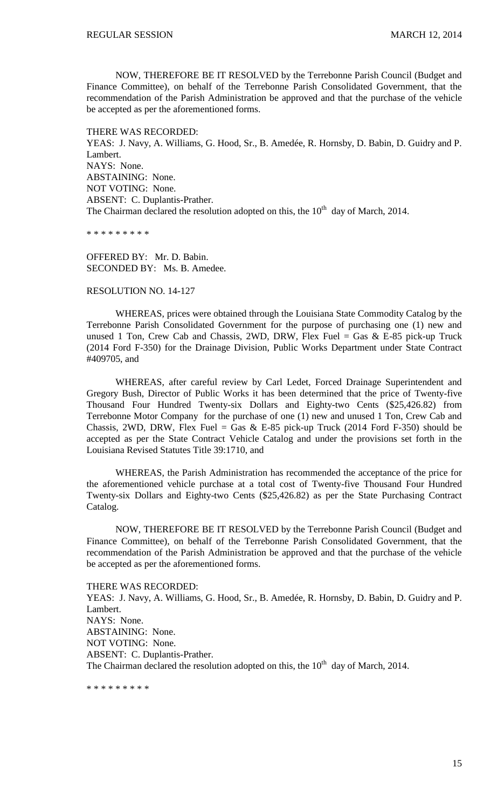NOW, THEREFORE BE IT RESOLVED by the Terrebonne Parish Council (Budget and Finance Committee), on behalf of the Terrebonne Parish Consolidated Government, that the recommendation of the Parish Administration be approved and that the purchase of the vehicle be accepted as per the aforementioned forms.

THERE WAS RECORDED:

YEAS: J. Navy, A. Williams, G. Hood, Sr., B. Amedée, R. Hornsby, D. Babin, D. Guidry and P. Lambert. NAYS: None. ABSTAINING: None. NOT VOTING: None. ABSENT: C. Duplantis-Prather. The Chairman declared the resolution adopted on this, the  $10<sup>th</sup>$  day of March, 2014.

\* \* \* \* \* \* \* \* \*

OFFERED BY: Mr. D. Babin. SECONDED BY: Ms. B. Amedee.

#### RESOLUTION NO. 14-127

WHEREAS, prices were obtained through the Louisiana State Commodity Catalog by the Terrebonne Parish Consolidated Government for the purpose of purchasing one (1) new and unused 1 Ton, Crew Cab and Chassis, 2WD, DRW, Flex Fuel = Gas & E-85 pick-up Truck (2014 Ford F-350) for the Drainage Division, Public Works Department under State Contract #409705, and

WHEREAS, after careful review by Carl Ledet, Forced Drainage Superintendent and Gregory Bush, Director of Public Works it has been determined that the price of Twenty-five Thousand Four Hundred Twenty-six Dollars and Eighty-two Cents (\$25,426.82) from Terrebonne Motor Company for the purchase of one (1) new and unused 1 Ton, Crew Cab and Chassis, 2WD, DRW, Flex Fuel = Gas & E-85 pick-up Truck (2014 Ford F-350) should be accepted as per the State Contract Vehicle Catalog and under the provisions set forth in the Louisiana Revised Statutes Title 39:1710, and

WHEREAS, the Parish Administration has recommended the acceptance of the price for the aforementioned vehicle purchase at a total cost of Twenty-five Thousand Four Hundred Twenty-six Dollars and Eighty-two Cents (\$25,426.82) as per the State Purchasing Contract Catalog.

NOW, THEREFORE BE IT RESOLVED by the Terrebonne Parish Council (Budget and Finance Committee), on behalf of the Terrebonne Parish Consolidated Government, that the recommendation of the Parish Administration be approved and that the purchase of the vehicle be accepted as per the aforementioned forms.

#### THERE WAS RECORDED:

YEAS: J. Navy, A. Williams, G. Hood, Sr., B. Amedée, R. Hornsby, D. Babin, D. Guidry and P. Lambert. NAYS: None. ABSTAINING: None. NOT VOTING: None.

ABSENT: C. Duplantis-Prather.

The Chairman declared the resolution adopted on this, the  $10<sup>th</sup>$  day of March, 2014.

\* \* \* \* \* \* \* \* \*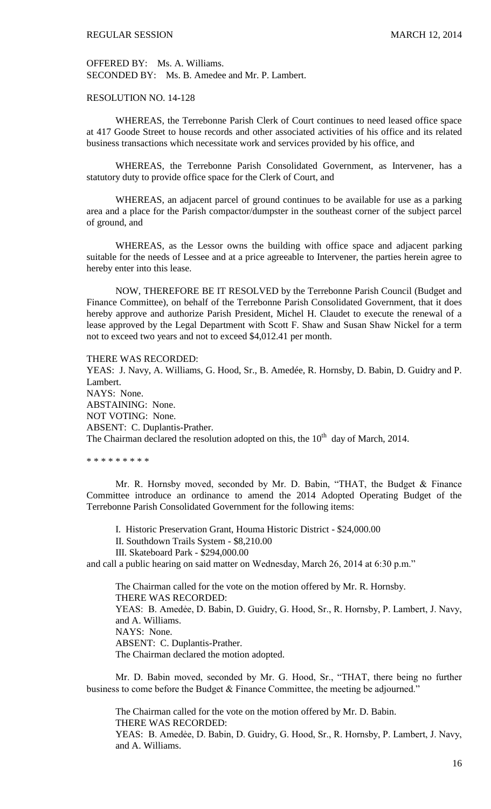OFFERED BY: Ms. A. Williams. SECONDED BY: Ms. B. Amedee and Mr. P. Lambert.

## RESOLUTION NO. 14-128

WHEREAS, the Terrebonne Parish Clerk of Court continues to need leased office space at 417 Goode Street to house records and other associated activities of his office and its related business transactions which necessitate work and services provided by his office, and

WHEREAS, the Terrebonne Parish Consolidated Government, as Intervener, has a statutory duty to provide office space for the Clerk of Court, and

WHEREAS, an adjacent parcel of ground continues to be available for use as a parking area and a place for the Parish compactor/dumpster in the southeast corner of the subject parcel of ground, and

WHEREAS, as the Lessor owns the building with office space and adjacent parking suitable for the needs of Lessee and at a price agreeable to Intervener, the parties herein agree to hereby enter into this lease.

NOW, THEREFORE BE IT RESOLVED by the Terrebonne Parish Council (Budget and Finance Committee), on behalf of the Terrebonne Parish Consolidated Government, that it does hereby approve and authorize Parish President, Michel H. Claudet to execute the renewal of a lease approved by the Legal Department with Scott F. Shaw and Susan Shaw Nickel for a term not to exceed two years and not to exceed \$4,012.41 per month.

THERE WAS RECORDED:

YEAS: J. Navy, A. Williams, G. Hood, Sr., B. Amedée, R. Hornsby, D. Babin, D. Guidry and P. Lambert. NAYS: None. ABSTAINING: None. NOT VOTING: None. ABSENT: C. Duplantis-Prather. The Chairman declared the resolution adopted on this, the  $10<sup>th</sup>$  day of March, 2014.

\* \* \* \* \* \* \* \* \*

Mr. R. Hornsby moved, seconded by Mr. D. Babin, "THAT, the Budget & Finance Committee introduce an ordinance to amend the 2014 Adopted Operating Budget of the Terrebonne Parish Consolidated Government for the following items:

I. Historic Preservation Grant, Houma Historic District - \$24,000.00

- II. Southdown Trails System \$8,210.00
- III. Skateboard Park \$294,000.00

and call a public hearing on said matter on Wednesday, March 26, 2014 at 6:30 p.m."

The Chairman called for the vote on the motion offered by Mr. R. Hornsby. THERE WAS RECORDED: YEAS: B. Amedėe, D. Babin, D. Guidry, G. Hood, Sr., R. Hornsby, P. Lambert, J. Navy, and A. Williams. NAYS: None. ABSENT: C. Duplantis-Prather. The Chairman declared the motion adopted.

Mr. D. Babin moved, seconded by Mr. G. Hood, Sr., "THAT, there being no further business to come before the Budget & Finance Committee, the meeting be adjourned."

The Chairman called for the vote on the motion offered by Mr. D. Babin. THERE WAS RECORDED: YEAS: B. Amedėe, D. Babin, D. Guidry, G. Hood, Sr., R. Hornsby, P. Lambert, J. Navy, and A. Williams.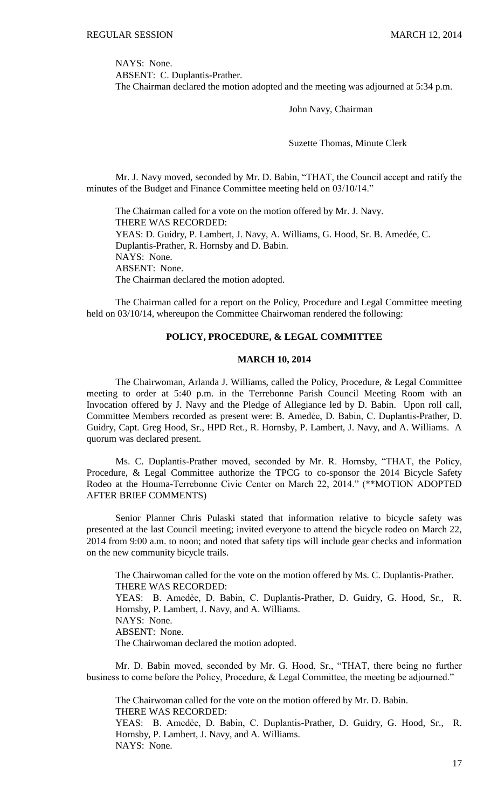NAYS: None.

ABSENT: C. Duplantis-Prather. The Chairman declared the motion adopted and the meeting was adjourned at 5:34 p.m.

John Navy, Chairman

Suzette Thomas, Minute Clerk

Mr. J. Navy moved, seconded by Mr. D. Babin, "THAT, the Council accept and ratify the minutes of the Budget and Finance Committee meeting held on 03/10/14."

The Chairman called for a vote on the motion offered by Mr. J. Navy. THERE WAS RECORDED: YEAS: D. Guidry, P. Lambert, J. Navy, A. Williams, G. Hood, Sr. B. Amedée, C. Duplantis-Prather, R. Hornsby and D. Babin. NAYS: None. ABSENT: None. The Chairman declared the motion adopted.

The Chairman called for a report on the Policy, Procedure and Legal Committee meeting held on 03/10/14, whereupon the Committee Chairwoman rendered the following:

# **POLICY, PROCEDURE, & LEGAL COMMITTEE**

## **MARCH 10, 2014**

The Chairwoman, Arlanda J. Williams, called the Policy, Procedure, & Legal Committee meeting to order at 5:40 p.m. in the Terrebonne Parish Council Meeting Room with an Invocation offered by J. Navy and the Pledge of Allegiance led by D. Babin. Upon roll call, Committee Members recorded as present were: B. Amedẻe, D. Babin, C. Duplantis-Prather, D. Guidry, Capt. Greg Hood, Sr., HPD Ret., R. Hornsby, P. Lambert, J. Navy, and A. Williams. A quorum was declared present.

Ms. C. Duplantis-Prather moved, seconded by Mr. R. Hornsby, "THAT, the Policy, Procedure, & Legal Committee authorize the TPCG to co-sponsor the 2014 Bicycle Safety Rodeo at the Houma-Terrebonne Civic Center on March 22, 2014." (\*\*MOTION ADOPTED AFTER BRIEF COMMENTS)

Senior Planner Chris Pulaski stated that information relative to bicycle safety was presented at the last Council meeting; invited everyone to attend the bicycle rodeo on March 22, 2014 from 9:00 a.m. to noon; and noted that safety tips will include gear checks and information on the new community bicycle trails.

The Chairwoman called for the vote on the motion offered by Ms. C. Duplantis-Prather. THERE WAS RECORDED: YEAS: B. Amedẻe, D. Babin, C. Duplantis-Prather, D. Guidry, G. Hood, Sr., R. Hornsby, P. Lambert, J. Navy, and A. Williams. NAYS: None. ABSENT: None. The Chairwoman declared the motion adopted.

Mr. D. Babin moved, seconded by Mr. G. Hood, Sr., "THAT, there being no further business to come before the Policy, Procedure, & Legal Committee, the meeting be adjourned."

The Chairwoman called for the vote on the motion offered by Mr. D. Babin. THERE WAS RECORDED:

YEAS: B. Amedẻe, D. Babin, C. Duplantis-Prather, D. Guidry, G. Hood, Sr., R. Hornsby, P. Lambert, J. Navy, and A. Williams. NAYS: None.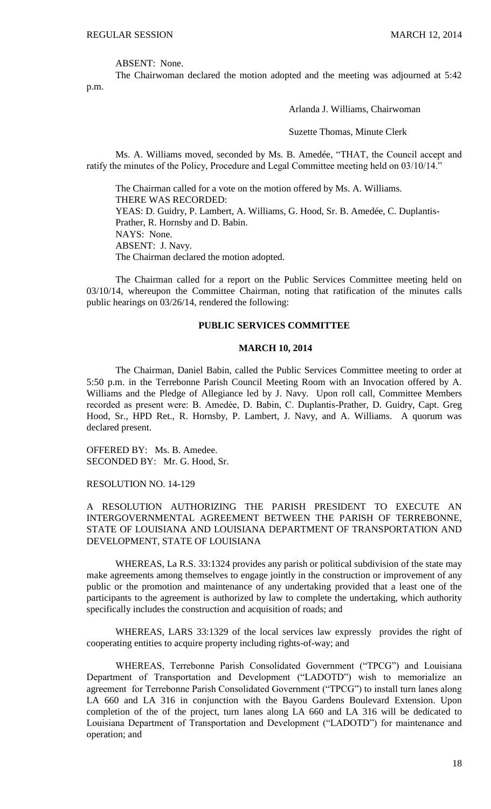ABSENT: None.

The Chairwoman declared the motion adopted and the meeting was adjourned at 5:42 p.m.

Arlanda J. Williams, Chairwoman

Suzette Thomas, Minute Clerk

Ms. A. Williams moved, seconded by Ms. B. Amedée, "THAT, the Council accept and ratify the minutes of the Policy, Procedure and Legal Committee meeting held on 03/10/14."

The Chairman called for a vote on the motion offered by Ms. A. Williams. THERE WAS RECORDED: YEAS: D. Guidry, P. Lambert, A. Williams, G. Hood, Sr. B. Amedée, C. Duplantis-Prather, R. Hornsby and D. Babin. NAYS: None. ABSENT: J. Navy. The Chairman declared the motion adopted.

The Chairman called for a report on the Public Services Committee meeting held on 03/10/14, whereupon the Committee Chairman, noting that ratification of the minutes calls public hearings on 03/26/14, rendered the following:

#### **PUBLIC SERVICES COMMITTEE**

#### **MARCH 10, 2014**

The Chairman, Daniel Babin, called the Public Services Committee meeting to order at 5:50 p.m. in the Terrebonne Parish Council Meeting Room with an Invocation offered by A. Williams and the Pledge of Allegiance led by J. Navy. Upon roll call, Committee Members recorded as present were: B. Amedẻe, D. Babin, C. Duplantis-Prather, D. Guidry, Capt. Greg Hood, Sr., HPD Ret., R. Hornsby, P. Lambert, J. Navy, and A. Williams. A quorum was declared present.

OFFERED BY: Ms. B. Amedee. SECONDED BY: Mr. G. Hood, Sr.

RESOLUTION NO. 14-129

A RESOLUTION AUTHORIZING THE PARISH PRESIDENT TO EXECUTE AN INTERGOVERNMENTAL AGREEMENT BETWEEN THE PARISH OF TERREBONNE, STATE OF LOUISIANA AND LOUISIANA DEPARTMENT OF TRANSPORTATION AND DEVELOPMENT, STATE OF LOUISIANA

WHEREAS, La R.S. 33:1324 provides any parish or political subdivision of the state may make agreements among themselves to engage jointly in the construction or improvement of any public or the promotion and maintenance of any undertaking provided that a least one of the participants to the agreement is authorized by law to complete the undertaking, which authority specifically includes the construction and acquisition of roads; and

WHEREAS, LARS 33:1329 of the local services law expressly provides the right of cooperating entities to acquire property including rights-of-way; and

WHEREAS, Terrebonne Parish Consolidated Government ("TPCG") and Louisiana Department of Transportation and Development ("LADOTD") wish to memorialize an agreement for Terrebonne Parish Consolidated Government ("TPCG") to install turn lanes along LA 660 and LA 316 in conjunction with the Bayou Gardens Boulevard Extension. Upon completion of the of the project, turn lanes along LA 660 and LA 316 will be dedicated to Louisiana Department of Transportation and Development ("LADOTD") for maintenance and operation; and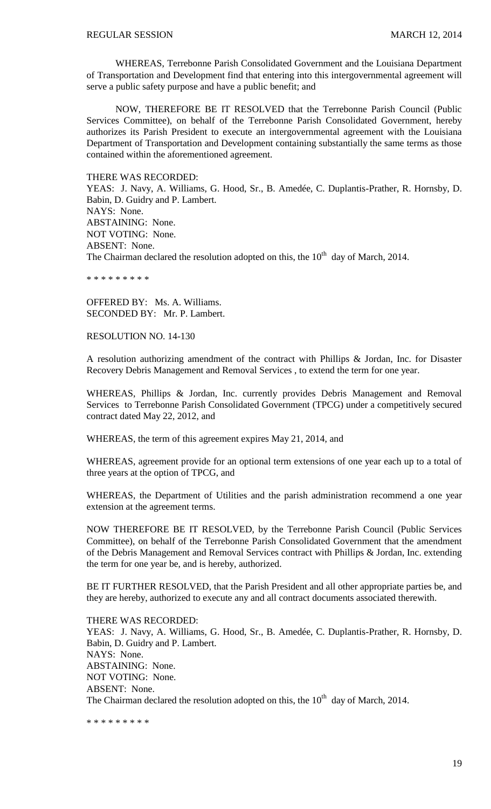WHEREAS, Terrebonne Parish Consolidated Government and the Louisiana Department of Transportation and Development find that entering into this intergovernmental agreement will serve a public safety purpose and have a public benefit; and

NOW, THEREFORE BE IT RESOLVED that the Terrebonne Parish Council (Public Services Committee), on behalf of the Terrebonne Parish Consolidated Government, hereby authorizes its Parish President to execute an intergovernmental agreement with the Louisiana Department of Transportation and Development containing substantially the same terms as those contained within the aforementioned agreement.

THERE WAS RECORDED:

YEAS: J. Navy, A. Williams, G. Hood, Sr., B. Amedée, C. Duplantis-Prather, R. Hornsby, D. Babin, D. Guidry and P. Lambert. NAYS: None. ABSTAINING: None. NOT VOTING: None. ABSENT: None.

The Chairman declared the resolution adopted on this, the  $10<sup>th</sup>$  day of March, 2014.

\* \* \* \* \* \* \* \* \*

OFFERED BY: Ms. A. Williams. SECONDED BY: Mr. P. Lambert.

RESOLUTION NO. 14-130

A resolution authorizing amendment of the contract with Phillips & Jordan, Inc. for Disaster Recovery Debris Management and Removal Services , to extend the term for one year.

WHEREAS, Phillips & Jordan, Inc. currently provides Debris Management and Removal Services to Terrebonne Parish Consolidated Government (TPCG) under a competitively secured contract dated May 22, 2012, and

WHEREAS, the term of this agreement expires May 21, 2014, and

WHEREAS, agreement provide for an optional term extensions of one year each up to a total of three years at the option of TPCG, and

WHEREAS, the Department of Utilities and the parish administration recommend a one year extension at the agreement terms.

NOW THEREFORE BE IT RESOLVED, by the Terrebonne Parish Council (Public Services Committee), on behalf of the Terrebonne Parish Consolidated Government that the amendment of the Debris Management and Removal Services contract with Phillips & Jordan, Inc. extending the term for one year be, and is hereby, authorized.

BE IT FURTHER RESOLVED, that the Parish President and all other appropriate parties be, and they are hereby, authorized to execute any and all contract documents associated therewith.

THERE WAS RECORDED: YEAS: J. Navy, A. Williams, G. Hood, Sr., B. Amedée, C. Duplantis-Prather, R. Hornsby, D. Babin, D. Guidry and P. Lambert. NAYS: None. ABSTAINING: None. NOT VOTING: None. ABSENT: None. The Chairman declared the resolution adopted on this, the  $10<sup>th</sup>$  day of March, 2014.

\* \* \* \* \* \* \* \* \*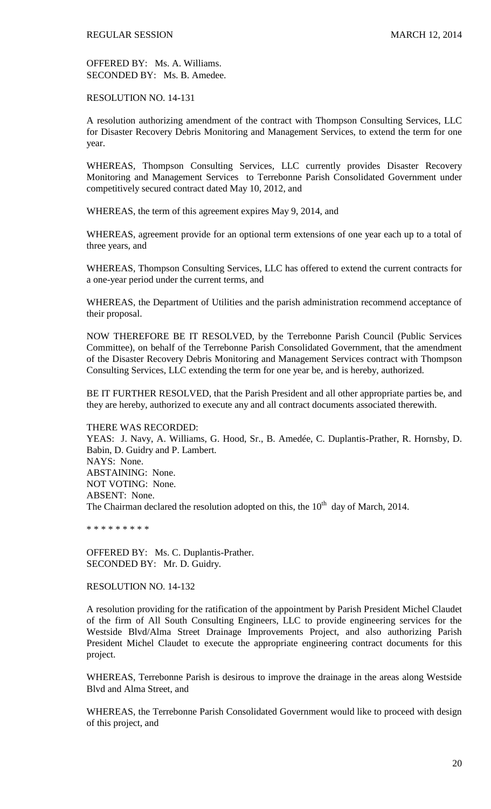OFFERED BY: Ms. A. Williams. SECONDED BY: Ms. B. Amedee.

RESOLUTION NO. 14-131

A resolution authorizing amendment of the contract with Thompson Consulting Services, LLC for Disaster Recovery Debris Monitoring and Management Services, to extend the term for one year.

WHEREAS, Thompson Consulting Services, LLC currently provides Disaster Recovery Monitoring and Management Services to Terrebonne Parish Consolidated Government under competitively secured contract dated May 10, 2012, and

WHEREAS, the term of this agreement expires May 9, 2014, and

WHEREAS, agreement provide for an optional term extensions of one year each up to a total of three years, and

WHEREAS, Thompson Consulting Services, LLC has offered to extend the current contracts for a one-year period under the current terms, and

WHEREAS, the Department of Utilities and the parish administration recommend acceptance of their proposal.

NOW THEREFORE BE IT RESOLVED, by the Terrebonne Parish Council (Public Services Committee), on behalf of the Terrebonne Parish Consolidated Government, that the amendment of the Disaster Recovery Debris Monitoring and Management Services contract with Thompson Consulting Services, LLC extending the term for one year be, and is hereby, authorized.

BE IT FURTHER RESOLVED, that the Parish President and all other appropriate parties be, and they are hereby, authorized to execute any and all contract documents associated therewith.

THERE WAS RECORDED:

YEAS: J. Navy, A. Williams, G. Hood, Sr., B. Amedée, C. Duplantis-Prather, R. Hornsby, D. Babin, D. Guidry and P. Lambert. NAYS: None. ABSTAINING: None. NOT VOTING: None. ABSENT: None. The Chairman declared the resolution adopted on this, the  $10<sup>th</sup>$  day of March, 2014.

\* \* \* \* \* \* \* \* \*

OFFERED BY: Ms. C. Duplantis-Prather. SECONDED BY: Mr. D. Guidry.

RESOLUTION NO. 14-132

A resolution providing for the ratification of the appointment by Parish President Michel Claudet of the firm of All South Consulting Engineers, LLC to provide engineering services for the Westside Blvd/Alma Street Drainage Improvements Project, and also authorizing Parish President Michel Claudet to execute the appropriate engineering contract documents for this project.

WHEREAS, Terrebonne Parish is desirous to improve the drainage in the areas along Westside Blvd and Alma Street, and

WHEREAS, the Terrebonne Parish Consolidated Government would like to proceed with design of this project, and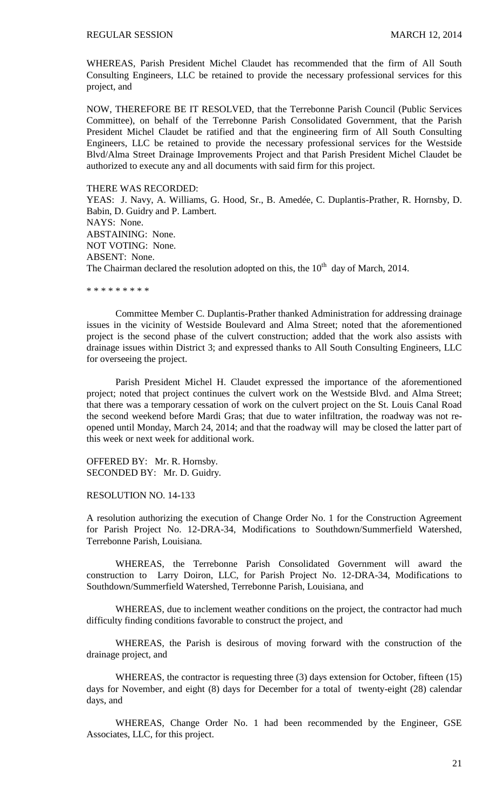WHEREAS, Parish President Michel Claudet has recommended that the firm of All South Consulting Engineers, LLC be retained to provide the necessary professional services for this project, and

NOW, THEREFORE BE IT RESOLVED, that the Terrebonne Parish Council (Public Services Committee), on behalf of the Terrebonne Parish Consolidated Government, that the Parish President Michel Claudet be ratified and that the engineering firm of All South Consulting Engineers, LLC be retained to provide the necessary professional services for the Westside Blvd/Alma Street Drainage Improvements Project and that Parish President Michel Claudet be authorized to execute any and all documents with said firm for this project.

#### THERE WAS RECORDED:

YEAS: J. Navy, A. Williams, G. Hood, Sr., B. Amedée, C. Duplantis-Prather, R. Hornsby, D. Babin, D. Guidry and P. Lambert. NAYS: None. ABSTAINING: None. NOT VOTING: None. ABSENT: None. The Chairman declared the resolution adopted on this, the  $10<sup>th</sup>$  day of March, 2014.

\* \* \* \* \* \* \* \* \*

Committee Member C. Duplantis-Prather thanked Administration for addressing drainage issues in the vicinity of Westside Boulevard and Alma Street; noted that the aforementioned project is the second phase of the culvert construction; added that the work also assists with drainage issues within District 3; and expressed thanks to All South Consulting Engineers, LLC for overseeing the project.

Parish President Michel H. Claudet expressed the importance of the aforementioned project; noted that project continues the culvert work on the Westside Blvd. and Alma Street; that there was a temporary cessation of work on the culvert project on the St. Louis Canal Road the second weekend before Mardi Gras; that due to water infiltration, the roadway was not reopened until Monday, March 24, 2014; and that the roadway will may be closed the latter part of this week or next week for additional work.

OFFERED BY: Mr. R. Hornsby. SECONDED BY: Mr. D. Guidry.

RESOLUTION NO. 14-133

A resolution authorizing the execution of Change Order No. 1 for the Construction Agreement for Parish Project No. 12-DRA-34, Modifications to Southdown/Summerfield Watershed, Terrebonne Parish, Louisiana.

WHEREAS, the Terrebonne Parish Consolidated Government will award the construction to Larry Doiron, LLC, for Parish Project No. 12-DRA-34, Modifications to Southdown/Summerfield Watershed, Terrebonne Parish, Louisiana, and

WHEREAS, due to inclement weather conditions on the project, the contractor had much difficulty finding conditions favorable to construct the project, and

WHEREAS, the Parish is desirous of moving forward with the construction of the drainage project, and

WHEREAS, the contractor is requesting three (3) days extension for October, fifteen (15) days for November, and eight (8) days for December for a total of twenty-eight (28) calendar days, and

WHEREAS, Change Order No. 1 had been recommended by the Engineer, GSE Associates, LLC, for this project.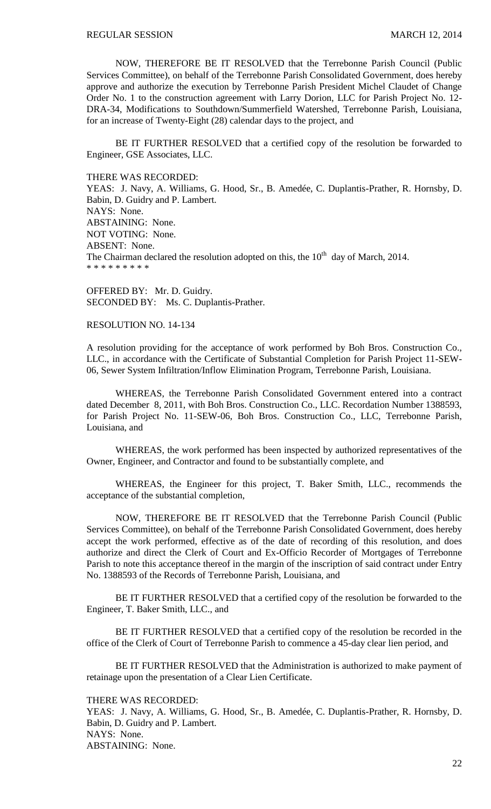NOW, THEREFORE BE IT RESOLVED that the Terrebonne Parish Council (Public Services Committee), on behalf of the Terrebonne Parish Consolidated Government, does hereby approve and authorize the execution by Terrebonne Parish President Michel Claudet of Change Order No. 1 to the construction agreement with Larry Dorion, LLC for Parish Project No. 12- DRA-34, Modifications to Southdown/Summerfield Watershed, Terrebonne Parish, Louisiana, for an increase of Twenty-Eight (28) calendar days to the project, and

BE IT FURTHER RESOLVED that a certified copy of the resolution be forwarded to Engineer, GSE Associates, LLC.

THERE WAS RECORDED:

YEAS: J. Navy, A. Williams, G. Hood, Sr., B. Amedée, C. Duplantis-Prather, R. Hornsby, D. Babin, D. Guidry and P. Lambert. NAYS: None. ABSTAINING: None. NOT VOTING: None. ABSENT: None. The Chairman declared the resolution adopted on this, the  $10<sup>th</sup>$  day of March, 2014. \* \* \* \* \* \* \* \* \*

OFFERED BY: Mr. D. Guidry. SECONDED BY: Ms. C. Duplantis-Prather.

#### RESOLUTION NO. 14-134

A resolution providing for the acceptance of work performed by Boh Bros. Construction Co., LLC., in accordance with the Certificate of Substantial Completion for Parish Project 11-SEW-06, Sewer System Infiltration/Inflow Elimination Program, Terrebonne Parish, Louisiana.

WHEREAS, the Terrebonne Parish Consolidated Government entered into a contract dated December 8, 2011, with Boh Bros. Construction Co., LLC. Recordation Number 1388593, for Parish Project No. 11-SEW-06, Boh Bros. Construction Co., LLC, Terrebonne Parish, Louisiana, and

WHEREAS, the work performed has been inspected by authorized representatives of the Owner, Engineer, and Contractor and found to be substantially complete, and

WHEREAS, the Engineer for this project, T. Baker Smith, LLC., recommends the acceptance of the substantial completion,

NOW, THEREFORE BE IT RESOLVED that the Terrebonne Parish Council (Public Services Committee), on behalf of the Terrebonne Parish Consolidated Government, does hereby accept the work performed, effective as of the date of recording of this resolution, and does authorize and direct the Clerk of Court and Ex-Officio Recorder of Mortgages of Terrebonne Parish to note this acceptance thereof in the margin of the inscription of said contract under Entry No. 1388593 of the Records of Terrebonne Parish, Louisiana, and

BE IT FURTHER RESOLVED that a certified copy of the resolution be forwarded to the Engineer, T. Baker Smith, LLC., and

BE IT FURTHER RESOLVED that a certified copy of the resolution be recorded in the office of the Clerk of Court of Terrebonne Parish to commence a 45-day clear lien period, and

BE IT FURTHER RESOLVED that the Administration is authorized to make payment of retainage upon the presentation of a Clear Lien Certificate.

# THERE WAS RECORDED:

YEAS: J. Navy, A. Williams, G. Hood, Sr., B. Amedée, C. Duplantis-Prather, R. Hornsby, D. Babin, D. Guidry and P. Lambert. NAYS: None. ABSTAINING: None.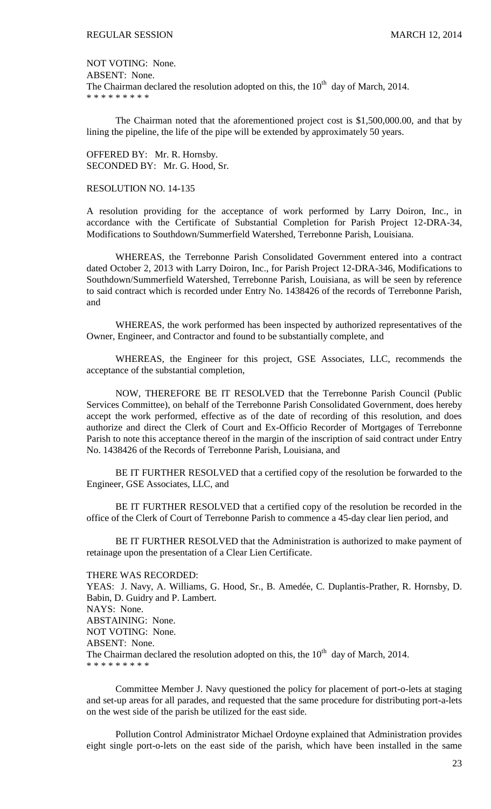NOT VOTING: None. ABSENT: None. The Chairman declared the resolution adopted on this, the  $10<sup>th</sup>$  day of March, 2014. \* \* \* \* \* \* \* \* \*

The Chairman noted that the aforementioned project cost is \$1,500,000.00, and that by lining the pipeline, the life of the pipe will be extended by approximately 50 years.

OFFERED BY: Mr. R. Hornsby. SECONDED BY: Mr. G. Hood, Sr.

#### RESOLUTION NO. 14-135

A resolution providing for the acceptance of work performed by Larry Doiron, Inc., in accordance with the Certificate of Substantial Completion for Parish Project 12-DRA-34, Modifications to Southdown/Summerfield Watershed, Terrebonne Parish, Louisiana.

WHEREAS, the Terrebonne Parish Consolidated Government entered into a contract dated October 2, 2013 with Larry Doiron, Inc., for Parish Project 12-DRA-346, Modifications to Southdown/Summerfield Watershed, Terrebonne Parish, Louisiana, as will be seen by reference to said contract which is recorded under Entry No. 1438426 of the records of Terrebonne Parish, and

WHEREAS, the work performed has been inspected by authorized representatives of the Owner, Engineer, and Contractor and found to be substantially complete, and

WHEREAS, the Engineer for this project, GSE Associates, LLC, recommends the acceptance of the substantial completion,

NOW, THEREFORE BE IT RESOLVED that the Terrebonne Parish Council (Public Services Committee), on behalf of the Terrebonne Parish Consolidated Government, does hereby accept the work performed, effective as of the date of recording of this resolution, and does authorize and direct the Clerk of Court and Ex-Officio Recorder of Mortgages of Terrebonne Parish to note this acceptance thereof in the margin of the inscription of said contract under Entry No. 1438426 of the Records of Terrebonne Parish, Louisiana, and

BE IT FURTHER RESOLVED that a certified copy of the resolution be forwarded to the Engineer, GSE Associates, LLC, and

BE IT FURTHER RESOLVED that a certified copy of the resolution be recorded in the office of the Clerk of Court of Terrebonne Parish to commence a 45-day clear lien period, and

BE IT FURTHER RESOLVED that the Administration is authorized to make payment of retainage upon the presentation of a Clear Lien Certificate.

# THERE WAS RECORDED:

YEAS: J. Navy, A. Williams, G. Hood, Sr., B. Amedée, C. Duplantis-Prather, R. Hornsby, D. Babin, D. Guidry and P. Lambert. NAYS: None. ABSTAINING: None. NOT VOTING: None. ABSENT: None. The Chairman declared the resolution adopted on this, the  $10<sup>th</sup>$  day of March, 2014. \* \* \* \* \* \* \* \* \*

Committee Member J. Navy questioned the policy for placement of port-o-lets at staging and set-up areas for all parades, and requested that the same procedure for distributing port-a-lets on the west side of the parish be utilized for the east side.

Pollution Control Administrator Michael Ordoyne explained that Administration provides eight single port-o-lets on the east side of the parish, which have been installed in the same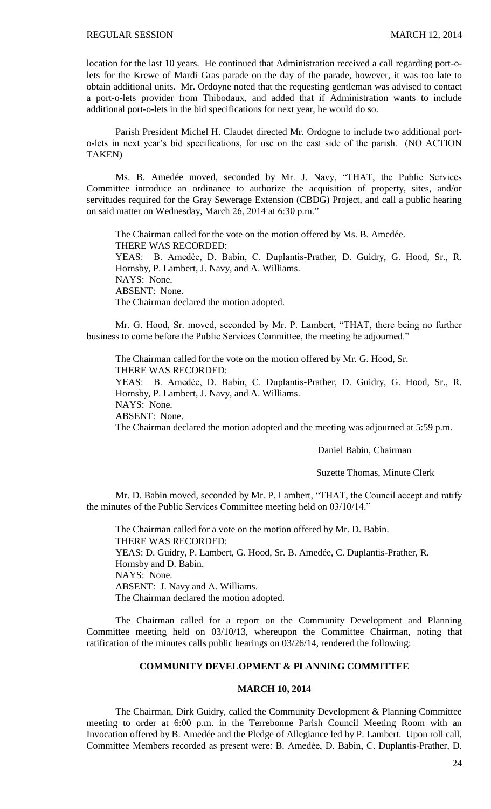location for the last 10 years. He continued that Administration received a call regarding port-olets for the Krewe of Mardi Gras parade on the day of the parade, however, it was too late to obtain additional units. Mr. Ordoyne noted that the requesting gentleman was advised to contact a port-o-lets provider from Thibodaux, and added that if Administration wants to include additional port-o-lets in the bid specifications for next year, he would do so.

Parish President Michel H. Claudet directed Mr. Ordogne to include two additional porto-lets in next year's bid specifications, for use on the east side of the parish. (NO ACTION TAKEN)

Ms. B. Amedée moved, seconded by Mr. J. Navy, "THAT, the Public Services Committee introduce an ordinance to authorize the acquisition of property, sites, and/or servitudes required for the Gray Sewerage Extension (CBDG) Project, and call a public hearing on said matter on Wednesday, March 26, 2014 at 6:30 p.m."

The Chairman called for the vote on the motion offered by Ms. B. Amedée. THERE WAS RECORDED: YEAS: B. Amedẻe, D. Babin, C. Duplantis-Prather, D. Guidry, G. Hood, Sr., R. Hornsby, P. Lambert, J. Navy, and A. Williams. NAYS: None. ABSENT: None. The Chairman declared the motion adopted.

Mr. G. Hood, Sr. moved, seconded by Mr. P. Lambert, "THAT, there being no further business to come before the Public Services Committee, the meeting be adjourned."

The Chairman called for the vote on the motion offered by Mr. G. Hood, Sr. THERE WAS RECORDED:

YEAS: B. Amedẻe, D. Babin, C. Duplantis-Prather, D. Guidry, G. Hood, Sr., R. Hornsby, P. Lambert, J. Navy, and A. Williams.

NAYS: None.

ABSENT: None.

The Chairman declared the motion adopted and the meeting was adjourned at 5:59 p.m.

#### Daniel Babin, Chairman

#### Suzette Thomas, Minute Clerk

Mr. D. Babin moved, seconded by Mr. P. Lambert, "THAT, the Council accept and ratify the minutes of the Public Services Committee meeting held on 03/10/14."

The Chairman called for a vote on the motion offered by Mr. D. Babin. THERE WAS RECORDED: YEAS: D. Guidry, P. Lambert, G. Hood, Sr. B. Amedée, C. Duplantis-Prather, R. Hornsby and D. Babin. NAYS: None. ABSENT: J. Navy and A. Williams. The Chairman declared the motion adopted.

The Chairman called for a report on the Community Development and Planning Committee meeting held on 03/10/13, whereupon the Committee Chairman, noting that ratification of the minutes calls public hearings on 03/26/14, rendered the following:

#### **COMMUNITY DEVELOPMENT & PLANNING COMMITTEE**

## **MARCH 10, 2014**

The Chairman, Dirk Guidry, called the Community Development & Planning Committee meeting to order at 6:00 p.m. in the Terrebonne Parish Council Meeting Room with an Invocation offered by B. Amedée and the Pledge of Allegiance led by P. Lambert. Upon roll call, Committee Members recorded as present were: B. Amedẻe, D. Babin, C. Duplantis-Prather, D.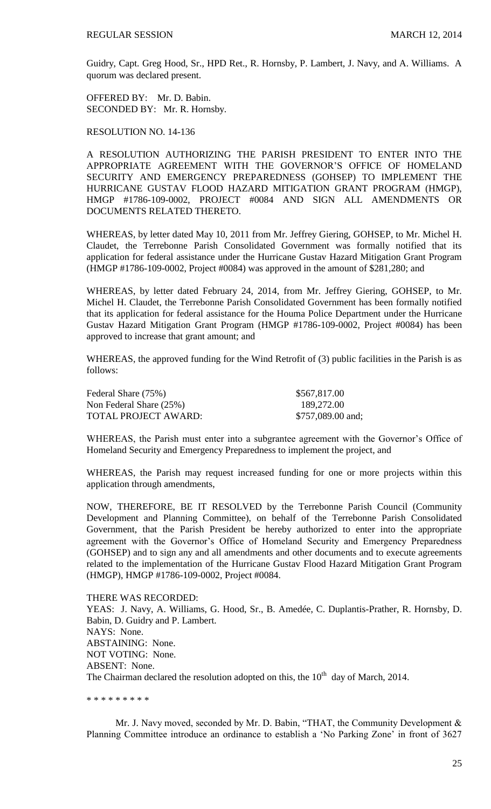Guidry, Capt. Greg Hood, Sr., HPD Ret., R. Hornsby, P. Lambert, J. Navy, and A. Williams. A quorum was declared present.

OFFERED BY: Mr. D. Babin. SECONDED BY: Mr. R. Hornsby.

RESOLUTION NO. 14-136

A RESOLUTION AUTHORIZING THE PARISH PRESIDENT TO ENTER INTO THE APPROPRIATE AGREEMENT WITH THE GOVERNOR'S OFFICE OF HOMELAND SECURITY AND EMERGENCY PREPAREDNESS (GOHSEP) TO IMPLEMENT THE HURRICANE GUSTAV FLOOD HAZARD MITIGATION GRANT PROGRAM (HMGP), HMGP #1786-109-0002, PROJECT #0084 AND SIGN ALL AMENDMENTS OR DOCUMENTS RELATED THERETO.

WHEREAS, by letter dated May 10, 2011 from Mr. Jeffrey Giering, GOHSEP, to Mr. Michel H. Claudet, the Terrebonne Parish Consolidated Government was formally notified that its application for federal assistance under the Hurricane Gustav Hazard Mitigation Grant Program (HMGP #1786-109-0002, Project #0084) was approved in the amount of \$281,280; and

WHEREAS, by letter dated February 24, 2014, from Mr. Jeffrey Giering, GOHSEP, to Mr. Michel H. Claudet, the Terrebonne Parish Consolidated Government has been formally notified that its application for federal assistance for the Houma Police Department under the Hurricane Gustav Hazard Mitigation Grant Program (HMGP #1786-109-0002, Project #0084) has been approved to increase that grant amount; and

WHEREAS, the approved funding for the Wind Retrofit of (3) public facilities in the Parish is as follows:

| Federal Share (75%)     | \$567,817.00      |
|-------------------------|-------------------|
| Non Federal Share (25%) | 189,272.00        |
| TOTAL PROJECT AWARD:    | \$757,089.00 and; |

WHEREAS, the Parish must enter into a subgrantee agreement with the Governor's Office of Homeland Security and Emergency Preparedness to implement the project, and

WHEREAS, the Parish may request increased funding for one or more projects within this application through amendments,

NOW, THEREFORE, BE IT RESOLVED by the Terrebonne Parish Council (Community Development and Planning Committee), on behalf of the Terrebonne Parish Consolidated Government, that the Parish President be hereby authorized to enter into the appropriate agreement with the Governor's Office of Homeland Security and Emergency Preparedness (GOHSEP) and to sign any and all amendments and other documents and to execute agreements related to the implementation of the Hurricane Gustav Flood Hazard Mitigation Grant Program (HMGP), HMGP #1786-109-0002, Project #0084.

THERE WAS RECORDED: YEAS: J. Navy, A. Williams, G. Hood, Sr., B. Amedée, C. Duplantis-Prather, R. Hornsby, D. Babin, D. Guidry and P. Lambert. NAYS: None. ABSTAINING: None. NOT VOTING: None. ABSENT: None. The Chairman declared the resolution adopted on this, the  $10<sup>th</sup>$  day of March, 2014.

\* \* \* \* \* \* \* \* \*

Mr. J. Navy moved, seconded by Mr. D. Babin, "THAT, the Community Development & Planning Committee introduce an ordinance to establish a 'No Parking Zone' in front of 3627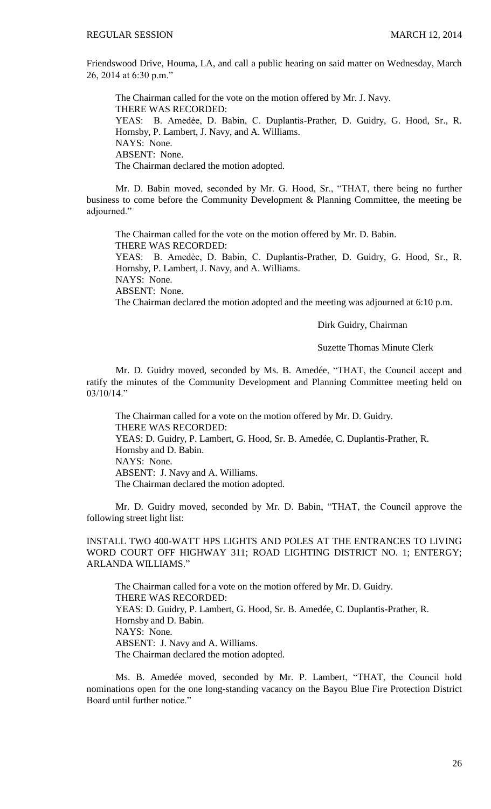Friendswood Drive, Houma, LA, and call a public hearing on said matter on Wednesday, March 26, 2014 at 6:30 p.m."

The Chairman called for the vote on the motion offered by Mr. J. Navy. THERE WAS RECORDED: YEAS: B. Amedẻe, D. Babin, C. Duplantis-Prather, D. Guidry, G. Hood, Sr., R. Hornsby, P. Lambert, J. Navy, and A. Williams. NAYS: None. ABSENT: None. The Chairman declared the motion adopted.

Mr. D. Babin moved, seconded by Mr. G. Hood, Sr., "THAT, there being no further business to come before the Community Development & Planning Committee, the meeting be adjourned."

The Chairman called for the vote on the motion offered by Mr. D. Babin. THERE WAS RECORDED: YEAS: B. Amedẻe, D. Babin, C. Duplantis-Prather, D. Guidry, G. Hood, Sr., R. Hornsby, P. Lambert, J. Navy, and A. Williams. NAYS: None. ABSENT: None. The Chairman declared the motion adopted and the meeting was adjourned at 6:10 p.m.

Dirk Guidry, Chairman

Suzette Thomas Minute Clerk

Mr. D. Guidry moved, seconded by Ms. B. Amedée, "THAT, the Council accept and ratify the minutes of the Community Development and Planning Committee meeting held on 03/10/14."

The Chairman called for a vote on the motion offered by Mr. D. Guidry. THERE WAS RECORDED: YEAS: D. Guidry, P. Lambert, G. Hood, Sr. B. Amedée, C. Duplantis-Prather, R. Hornsby and D. Babin. NAYS: None. ABSENT: J. Navy and A. Williams. The Chairman declared the motion adopted.

Mr. D. Guidry moved, seconded by Mr. D. Babin, "THAT, the Council approve the following street light list:

INSTALL TWO 400-WATT HPS LIGHTS AND POLES AT THE ENTRANCES TO LIVING WORD COURT OFF HIGHWAY 311; ROAD LIGHTING DISTRICT NO. 1; ENTERGY; ARLANDA WILLIAMS."

The Chairman called for a vote on the motion offered by Mr. D. Guidry. THERE WAS RECORDED: YEAS: D. Guidry, P. Lambert, G. Hood, Sr. B. Amedée, C. Duplantis-Prather, R. Hornsby and D. Babin. NAYS: None. ABSENT: J. Navy and A. Williams. The Chairman declared the motion adopted.

Ms. B. Amedée moved, seconded by Mr. P. Lambert, "THAT, the Council hold nominations open for the one long-standing vacancy on the Bayou Blue Fire Protection District Board until further notice."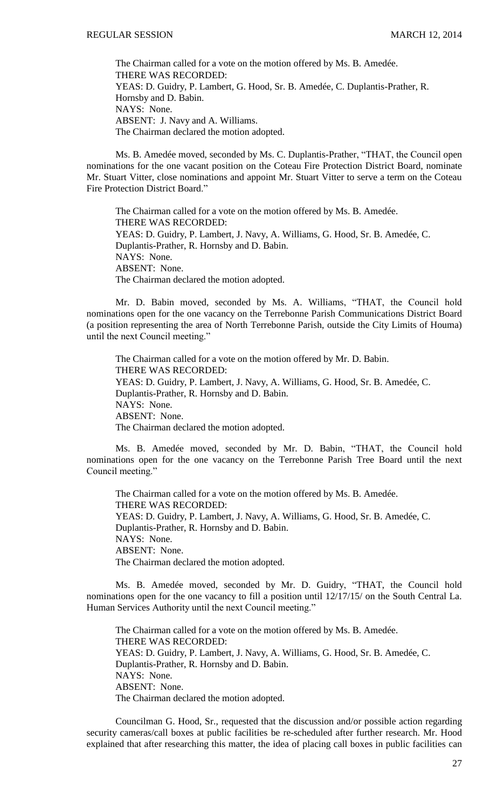The Chairman called for a vote on the motion offered by Ms. B. Amedée. THERE WAS RECORDED: YEAS: D. Guidry, P. Lambert, G. Hood, Sr. B. Amedée, C. Duplantis-Prather, R. Hornsby and D. Babin. NAYS: None. ABSENT: J. Navy and A. Williams. The Chairman declared the motion adopted.

Ms. B. Amedée moved, seconded by Ms. C. Duplantis-Prather, "THAT, the Council open nominations for the one vacant position on the Coteau Fire Protection District Board, nominate Mr. Stuart Vitter, close nominations and appoint Mr. Stuart Vitter to serve a term on the Coteau Fire Protection District Board."

The Chairman called for a vote on the motion offered by Ms. B. Amedée. THERE WAS RECORDED: YEAS: D. Guidry, P. Lambert, J. Navy, A. Williams, G. Hood, Sr. B. Amedée, C. Duplantis-Prather, R. Hornsby and D. Babin. NAYS: None. ABSENT: None. The Chairman declared the motion adopted.

Mr. D. Babin moved, seconded by Ms. A. Williams, "THAT, the Council hold nominations open for the one vacancy on the Terrebonne Parish Communications District Board (a position representing the area of North Terrebonne Parish, outside the City Limits of Houma) until the next Council meeting."

The Chairman called for a vote on the motion offered by Mr. D. Babin. THERE WAS RECORDED: YEAS: D. Guidry, P. Lambert, J. Navy, A. Williams, G. Hood, Sr. B. Amedée, C. Duplantis-Prather, R. Hornsby and D. Babin. NAYS: None. ABSENT: None. The Chairman declared the motion adopted.

Ms. B. Amedée moved, seconded by Mr. D. Babin, "THAT, the Council hold nominations open for the one vacancy on the Terrebonne Parish Tree Board until the next Council meeting."

The Chairman called for a vote on the motion offered by Ms. B. Amedée. THERE WAS RECORDED: YEAS: D. Guidry, P. Lambert, J. Navy, A. Williams, G. Hood, Sr. B. Amedée, C. Duplantis-Prather, R. Hornsby and D. Babin. NAYS: None. ABSENT: None. The Chairman declared the motion adopted.

Ms. B. Amedée moved, seconded by Mr. D. Guidry, "THAT, the Council hold nominations open for the one vacancy to fill a position until 12/17/15/ on the South Central La. Human Services Authority until the next Council meeting."

The Chairman called for a vote on the motion offered by Ms. B. Amedée. THERE WAS RECORDED: YEAS: D. Guidry, P. Lambert, J. Navy, A. Williams, G. Hood, Sr. B. Amedée, C. Duplantis-Prather, R. Hornsby and D. Babin. NAYS: None. ABSENT: None. The Chairman declared the motion adopted.

Councilman G. Hood, Sr., requested that the discussion and/or possible action regarding security cameras/call boxes at public facilities be re-scheduled after further research. Mr. Hood explained that after researching this matter, the idea of placing call boxes in public facilities can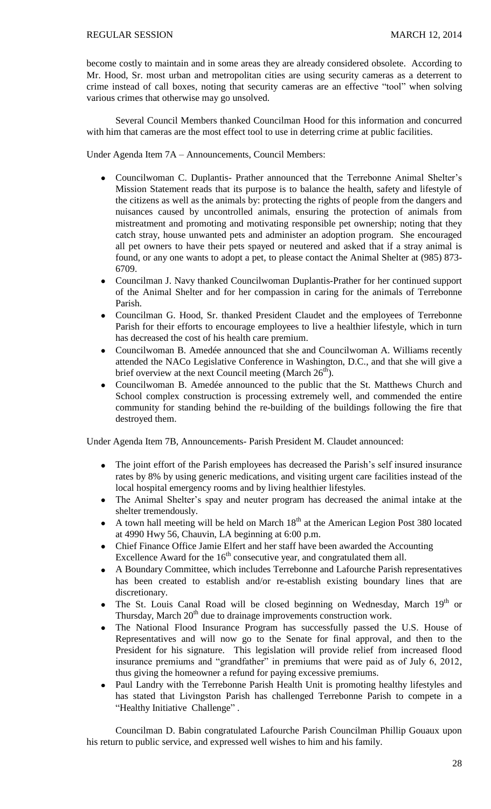become costly to maintain and in some areas they are already considered obsolete. According to Mr. Hood, Sr. most urban and metropolitan cities are using security cameras as a deterrent to crime instead of call boxes, noting that security cameras are an effective "tool" when solving various crimes that otherwise may go unsolved.

Several Council Members thanked Councilman Hood for this information and concurred with him that cameras are the most effect tool to use in deterring crime at public facilities.

Under Agenda Item 7A – Announcements, Council Members:

- Councilwoman C. Duplantis- Prather announced that the Terrebonne Animal Shelter's  $\bullet$ Mission Statement reads that its purpose is to balance the health, safety and lifestyle of the citizens as well as the animals by: protecting the rights of people from the dangers and nuisances caused by uncontrolled animals, ensuring the protection of animals from mistreatment and promoting and motivating responsible pet ownership; noting that they catch stray, house unwanted pets and administer an adoption program. She encouraged all pet owners to have their pets spayed or neutered and asked that if a stray animal is found, or any one wants to adopt a pet, to please contact the Animal Shelter at (985) 873- 6709.
- Councilman J. Navy thanked Councilwoman Duplantis-Prather for her continued support  $\bullet$ of the Animal Shelter and for her compassion in caring for the animals of Terrebonne Parish.
- Councilman G. Hood, Sr. thanked President Claudet and the employees of Terrebonne Parish for their efforts to encourage employees to live a healthier lifestyle, which in turn has decreased the cost of his health care premium.
- Councilwoman B. Amedée announced that she and Councilwoman A. Williams recently  $\bullet$ attended the NACo Legislative Conference in Washington, D.C., and that she will give a brief overview at the next Council meeting (March 26<sup>th</sup>).
- Councilwoman B. Amedée announced to the public that the St. Matthews Church and  $\bullet$ School complex construction is processing extremely well, and commended the entire community for standing behind the re-building of the buildings following the fire that destroyed them.

Under Agenda Item 7B, Announcements- Parish President M. Claudet announced:

- The joint effort of the Parish employees has decreased the Parish's self insured insurance  $\bullet$ rates by 8% by using generic medications, and visiting urgent care facilities instead of the local hospital emergency rooms and by living healthier lifestyles.
- The Animal Shelter's spay and neuter program has decreased the animal intake at the  $\bullet$ shelter tremendously.
- A town hall meeting will be held on March  $18<sup>th</sup>$  at the American Legion Post 380 located  $\bullet$ at 4990 Hwy 56, Chauvin, LA beginning at 6:00 p.m.
- Chief Finance Office Jamie Elfert and her staff have been awarded the Accounting  $\bullet$ Excellence Award for the  $16<sup>th</sup>$  consecutive year, and congratulated them all.
- A Boundary Committee, which includes Terrebonne and Lafourche Parish representatives has been created to establish and/or re-establish existing boundary lines that are discretionary.
- The St. Louis Canal Road will be closed beginning on Wednesday, March  $19<sup>th</sup>$  or Thursday, March  $20<sup>th</sup>$  due to drainage improvements construction work.
- The National Flood Insurance Program has successfully passed the U.S. House of Representatives and will now go to the Senate for final approval, and then to the President for his signature. This legislation will provide relief from increased flood insurance premiums and "grandfather" in premiums that were paid as of July 6, 2012, thus giving the homeowner a refund for paying excessive premiums.
- Paul Landry with the Terrebonne Parish Health Unit is promoting healthy lifestyles and  $\bullet$ has stated that Livingston Parish has challenged Terrebonne Parish to compete in a "Healthy Initiative Challenge" .

Councilman D. Babin congratulated Lafourche Parish Councilman Phillip Gouaux upon his return to public service, and expressed well wishes to him and his family.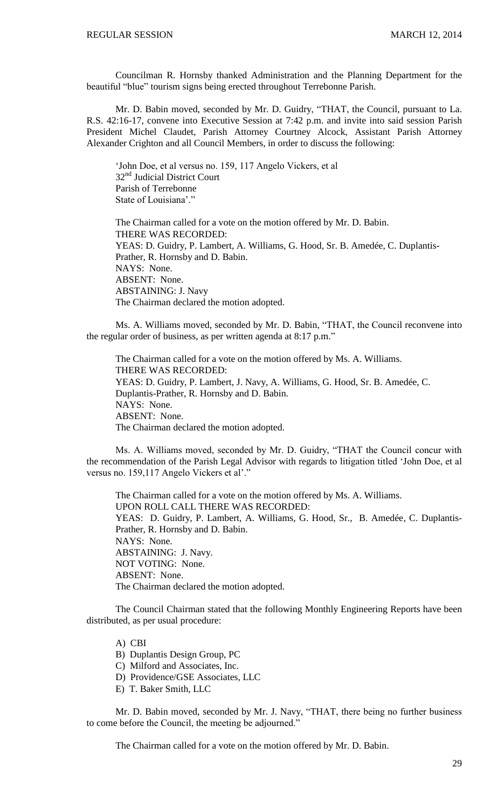Councilman R. Hornsby thanked Administration and the Planning Department for the beautiful "blue" tourism signs being erected throughout Terrebonne Parish.

Mr. D. Babin moved, seconded by Mr. D. Guidry, "THAT, the Council, pursuant to La. R.S. 42:16-17, convene into Executive Session at 7:42 p.m. and invite into said session Parish President Michel Claudet, Parish Attorney Courtney Alcock, Assistant Parish Attorney Alexander Crighton and all Council Members, in order to discuss the following:

'John Doe, et al versus no. 159, 117 Angelo Vickers, et al 32<sup>nd</sup> Judicial District Court Parish of Terrebonne State of Louisiana'."

The Chairman called for a vote on the motion offered by Mr. D. Babin. THERE WAS RECORDED: YEAS: D. Guidry, P. Lambert, A. Williams, G. Hood, Sr. B. Amedée, C. Duplantis-Prather, R. Hornsby and D. Babin. NAYS: None. ABSENT: None. ABSTAINING: J. Navy The Chairman declared the motion adopted.

Ms. A. Williams moved, seconded by Mr. D. Babin, "THAT, the Council reconvene into the regular order of business, as per written agenda at 8:17 p.m."

The Chairman called for a vote on the motion offered by Ms. A. Williams. THERE WAS RECORDED: YEAS: D. Guidry, P. Lambert, J. Navy, A. Williams, G. Hood, Sr. B. Amedée, C. Duplantis-Prather, R. Hornsby and D. Babin. NAYS: None. ABSENT: None. The Chairman declared the motion adopted.

Ms. A. Williams moved, seconded by Mr. D. Guidry, "THAT the Council concur with the recommendation of the Parish Legal Advisor with regards to litigation titled 'John Doe, et al versus no. 159,117 Angelo Vickers et al'."

The Chairman called for a vote on the motion offered by Ms. A. Williams. UPON ROLL CALL THERE WAS RECORDED: YEAS: D. Guidry, P. Lambert, A. Williams, G. Hood, Sr., B. Amedée, C. Duplantis-Prather, R. Hornsby and D. Babin. NAYS: None. ABSTAINING: J. Navy. NOT VOTING: None. ABSENT: None. The Chairman declared the motion adopted.

The Council Chairman stated that the following Monthly Engineering Reports have been distributed, as per usual procedure:

A) CBI

B) Duplantis Design Group, PC

C) Milford and Associates, Inc.

D) Providence/GSE Associates, LLC

E) T. Baker Smith, LLC

Mr. D. Babin moved, seconded by Mr. J. Navy, "THAT, there being no further business to come before the Council, the meeting be adjourned."

The Chairman called for a vote on the motion offered by Mr. D. Babin.